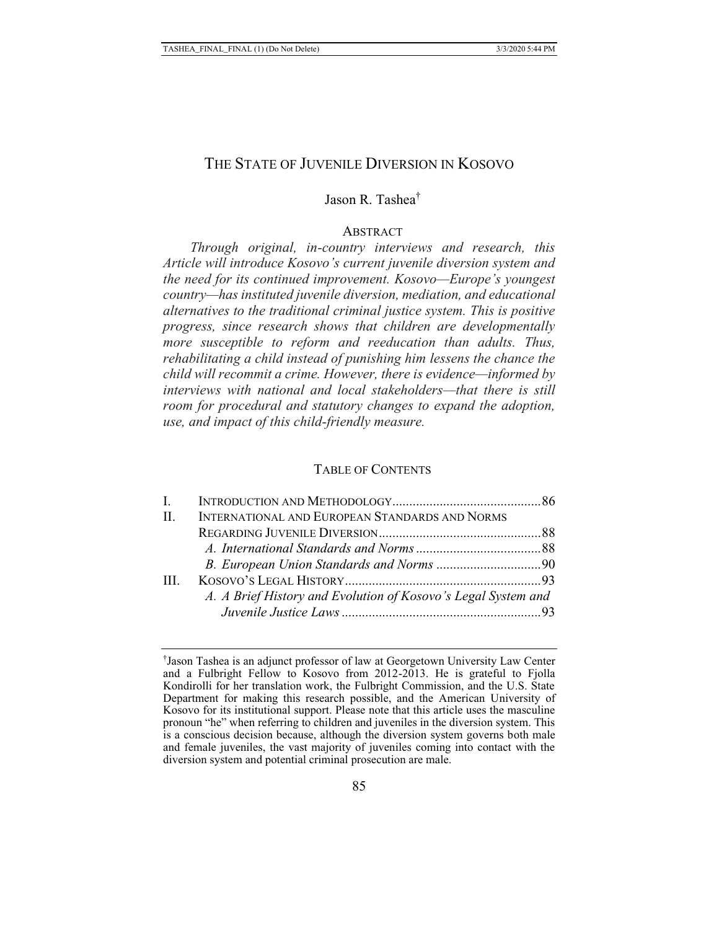## THE STATE OF JUVENILE DIVERSION IN KOSOVO

## Jason R. Tashea†

#### ABSTRACT

*Through original, in-country interviews and research, this Article will introduce Kosovo's current juvenile diversion system and the need for its continued improvement. Kosovo—Europe's youngest country—has instituted juvenile diversion, mediation, and educational alternatives to the traditional criminal justice system. This is positive progress, since research shows that children are developmentally more susceptible to reform and reeducation than adults. Thus, rehabilitating a child instead of punishing him lessens the chance the child will recommit a crime. However, there is evidence—informed by interviews with national and local stakeholders—that there is still room for procedural and statutory changes to expand the adoption, use, and impact of this child-friendly measure.* 

## TABLE OF CONTENTS

| $\mathbf{I}$ |                                                               |  |
|--------------|---------------------------------------------------------------|--|
| H.           | INTERNATIONAL AND EUROPEAN STANDARDS AND NORMS                |  |
|              |                                                               |  |
|              |                                                               |  |
|              |                                                               |  |
| Ш            |                                                               |  |
|              | A. A Brief History and Evolution of Kosovo's Legal System and |  |
|              |                                                               |  |
|              |                                                               |  |

<sup>†</sup> Jason Tashea is an adjunct professor of law at Georgetown University Law Center and a Fulbright Fellow to Kosovo from 2012-2013. He is grateful to Fjolla Kondirolli for her translation work, the Fulbright Commission, and the U.S. State Department for making this research possible, and the American University of Kosovo for its institutional support. Please note that this article uses the masculine pronoun "he" when referring to children and juveniles in the diversion system. This is a conscious decision because, although the diversion system governs both male and female juveniles, the vast majority of juveniles coming into contact with the diversion system and potential criminal prosecution are male.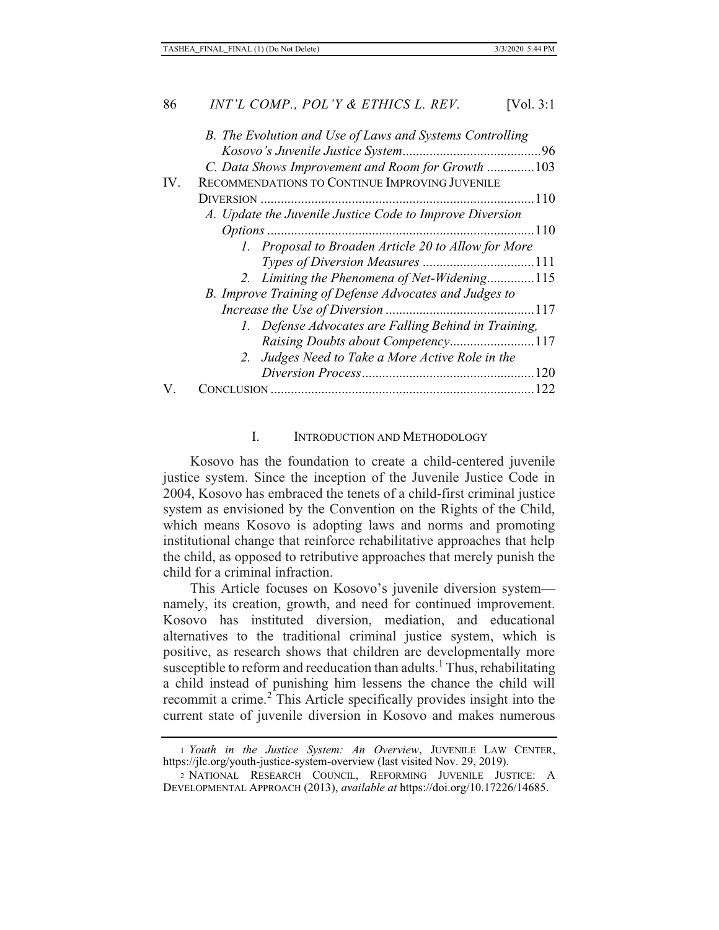| B. The Evolution and Use of Laws and Systems Controlling |
|----------------------------------------------------------|
|                                                          |
| C. Data Shows Improvement and Room for Growth 103        |
| RECOMMENDATIONS TO CONTINUE IMPROVING JUVENILE<br>IV.    |
|                                                          |
| A. Update the Juvenile Justice Code to Improve Diversion |
| $-110$                                                   |
| 1. Proposal to Broaden Article 20 to Allow for More      |
|                                                          |
| 2. Limiting the Phenomena of Net-Widening115             |
| B. Improve Training of Defense Advocates and Judges to   |
|                                                          |
| 1. Defense Advocates are Falling Behind in Training,     |
| Raising Doubts about Competency117                       |
| 2. Judges Need to Take a More Active Role in the         |
|                                                          |
| 122                                                      |

#### I. INTRODUCTION AND METHODOLOGY

Kosovo has the foundation to create a child-centered juvenile justice system. Since the inception of the Juvenile Justice Code in 2004, Kosovo has embraced the tenets of a child-first criminal justice system as envisioned by the Convention on the Rights of the Child, which means Kosovo is adopting laws and norms and promoting institutional change that reinforce rehabilitative approaches that help the child, as opposed to retributive approaches that merely punish the child for a criminal infraction.

This Article focuses on Kosovo's juvenile diversion system namely, its creation, growth, and need for continued improvement. Kosovo has instituted diversion, mediation, and educational alternatives to the traditional criminal justice system, which is positive, as research shows that children are developmentally more susceptible to reform and reeducation than adults.<sup>1</sup> Thus, rehabilitating a child instead of punishing him lessens the chance the child will recommit a crime.<sup>2</sup> This Article specifically provides insight into the current state of juvenile diversion in Kosovo and makes numerous

<sup>1</sup> *Youth in the Justice System: An Overview*, JUVENILE LAW CENTER, https://jlc.org/youth-justice-system-overview (last visited Nov. 29, 2019).

<sup>2</sup> NATIONAL RESEARCH COUNCIL, REFORMING JUVENILE JUSTICE: A DEVELOPMENTAL APPROACH (2013), *available at* https://doi.org/10.17226/14685.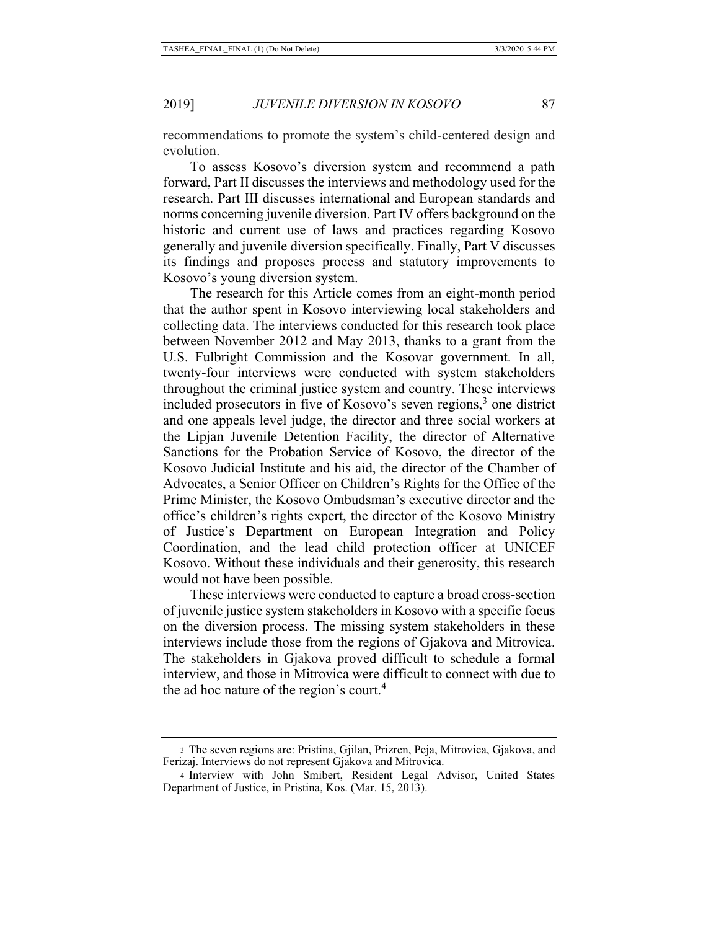recommendations to promote the system's child-centered design and evolution.

To assess Kosovo's diversion system and recommend a path forward, Part II discusses the interviews and methodology used for the research. Part III discusses international and European standards and norms concerning juvenile diversion. Part IV offers background on the historic and current use of laws and practices regarding Kosovo generally and juvenile diversion specifically. Finally, Part V discusses its findings and proposes process and statutory improvements to Kosovo's young diversion system.

The research for this Article comes from an eight-month period that the author spent in Kosovo interviewing local stakeholders and collecting data. The interviews conducted for this research took place between November 2012 and May 2013, thanks to a grant from the U.S. Fulbright Commission and the Kosovar government. In all, twenty-four interviews were conducted with system stakeholders throughout the criminal justice system and country. These interviews included prosecutors in five of Kosovo's seven regions,<sup>3</sup> one district and one appeals level judge, the director and three social workers at the Lipjan Juvenile Detention Facility, the director of Alternative Sanctions for the Probation Service of Kosovo, the director of the Kosovo Judicial Institute and his aid, the director of the Chamber of Advocates, a Senior Officer on Children's Rights for the Office of the Prime Minister, the Kosovo Ombudsman's executive director and the office's children's rights expert, the director of the Kosovo Ministry of Justice's Department on European Integration and Policy Coordination, and the lead child protection officer at UNICEF Kosovo. Without these individuals and their generosity, this research would not have been possible.

These interviews were conducted to capture a broad cross-section of juvenile justice system stakeholders in Kosovo with a specific focus on the diversion process. The missing system stakeholders in these interviews include those from the regions of Gjakova and Mitrovica. The stakeholders in Gjakova proved difficult to schedule a formal interview, and those in Mitrovica were difficult to connect with due to the ad hoc nature of the region's court.<sup>4</sup>

<sup>3</sup> The seven regions are: Pristina, Gjilan, Prizren, Peja, Mitrovica, Gjakova, and Ferizaj. Interviews do not represent Gjakova and Mitrovica.

<sup>4</sup> Interview with John Smibert, Resident Legal Advisor, United States Department of Justice, in Pristina, Kos. (Mar. 15, 2013).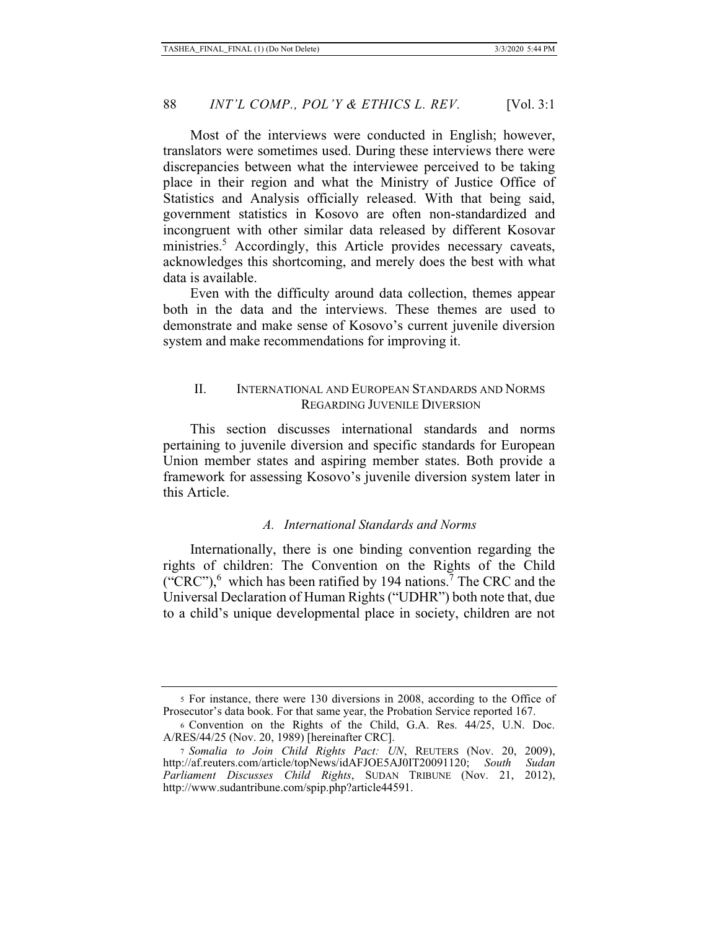Most of the interviews were conducted in English; however, translators were sometimes used. During these interviews there were discrepancies between what the interviewee perceived to be taking place in their region and what the Ministry of Justice Office of Statistics and Analysis officially released. With that being said, government statistics in Kosovo are often non-standardized and incongruent with other similar data released by different Kosovar ministries.<sup>5</sup> Accordingly, this Article provides necessary caveats, acknowledges this shortcoming, and merely does the best with what data is available.

Even with the difficulty around data collection, themes appear both in the data and the interviews. These themes are used to demonstrate and make sense of Kosovo's current juvenile diversion system and make recommendations for improving it.

## II. INTERNATIONAL AND EUROPEAN STANDARDS AND NORMS REGARDING JUVENILE DIVERSION

This section discusses international standards and norms pertaining to juvenile diversion and specific standards for European Union member states and aspiring member states. Both provide a framework for assessing Kosovo's juvenile diversion system later in this Article.

#### *A. International Standards and Norms*

Internationally, there is one binding convention regarding the rights of children: The Convention on the Rights of the Child ("CRC"), $^6$  which has been ratified by 194 nations.<sup>7</sup> The CRC and the Universal Declaration of Human Rights ("UDHR") both note that, due to a child's unique developmental place in society, children are not

<sup>5</sup> For instance, there were 130 diversions in 2008, according to the Office of Prosecutor's data book. For that same year, the Probation Service reported 167.

<sup>6</sup> Convention on the Rights of the Child, G.A. Res. 44/25, U.N. Doc. A/RES/44/25 (Nov. 20, 1989) [hereinafter CRC].

<sup>7</sup> *Somalia to Join Child Rights Pact: UN*, REUTERS (Nov. 20, 2009), http://af.reuters.com/article/topNews/idAFJOE5AJ0IT20091120; *South Sudan Parliament Discusses Child Rights*, SUDAN TRIBUNE (Nov. 21, 2012), http://www.sudantribune.com/spip.php?article44591.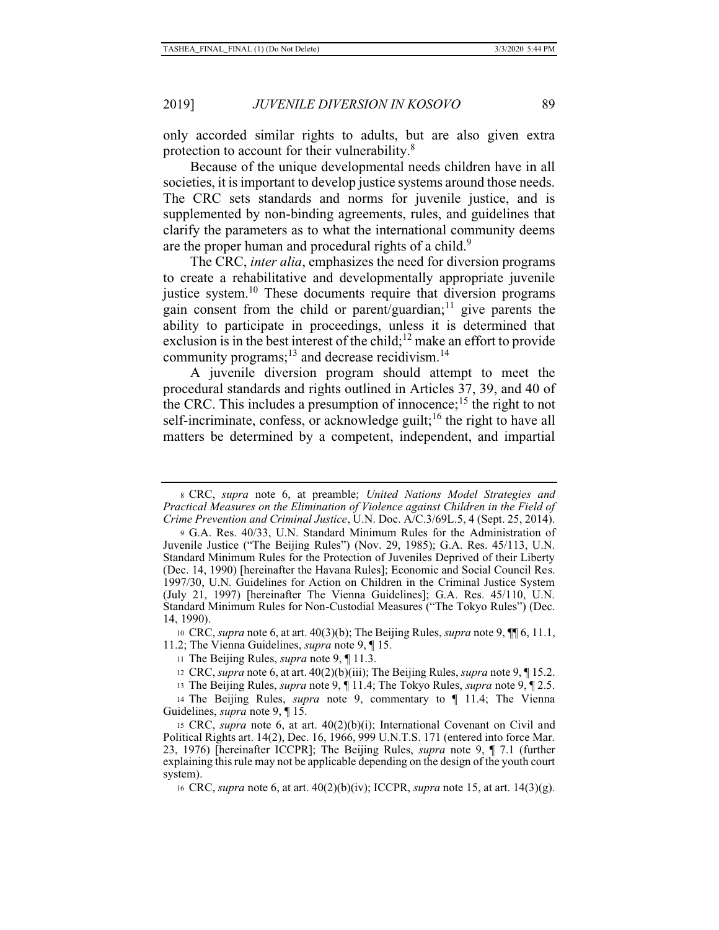only accorded similar rights to adults, but are also given extra protection to account for their vulnerability.<sup>8</sup>

Because of the unique developmental needs children have in all societies, it is important to develop justice systems around those needs. The CRC sets standards and norms for juvenile justice, and is supplemented by non-binding agreements, rules, and guidelines that clarify the parameters as to what the international community deems are the proper human and procedural rights of a child.<sup>9</sup>

The CRC, *inter alia*, emphasizes the need for diversion programs to create a rehabilitative and developmentally appropriate juvenile justice system.<sup>10</sup> These documents require that diversion programs gain consent from the child or parent/guardian;<sup>11</sup> give parents the ability to participate in proceedings, unless it is determined that exclusion is in the best interest of the child;<sup>12</sup> make an effort to provide community programs; $^{13}$  and decrease recidivism.<sup>14</sup>

A juvenile diversion program should attempt to meet the procedural standards and rights outlined in Articles 37, 39, and 40 of the CRC. This includes a presumption of innocence;<sup>15</sup> the right to not self-incriminate, confess, or acknowledge guilt;<sup>16</sup> the right to have all matters be determined by a competent, independent, and impartial

10 CRC, *supra* note 6, at art. 40(3)(b); The Beijing Rules, *supra* note 9, ¶¶ 6, 11.1, 11.2; The Vienna Guidelines, *supra* note 9, ¶ 15.

<sup>8</sup> CRC, *supra* note 6, at preamble; *United Nations Model Strategies and Practical Measures on the Elimination of Violence against Children in the Field of Crime Prevention and Criminal Justice*, U.N. Doc. A/C.3/69L.5, 4 (Sept. 25, 2014).

<sup>9</sup> G.A. Res. 40/33, U.N. Standard Minimum Rules for the Administration of Juvenile Justice ("The Beijing Rules") (Nov. 29, 1985); G.A. Res. 45/113, U.N. Standard Minimum Rules for the Protection of Juveniles Deprived of their Liberty (Dec. 14, 1990) [hereinafter the Havana Rules]; Economic and Social Council Res. 1997/30, U.N. Guidelines for Action on Children in the Criminal Justice System (July 21, 1997) [hereinafter The Vienna Guidelines]; G.A. Res. 45/110, U.N. Standard Minimum Rules for Non-Custodial Measures ("The Tokyo Rules") (Dec. 14, 1990).

<sup>11</sup> The Beijing Rules, *supra* note 9, ¶ 11.3.

<sup>12</sup> CRC, *supra* note 6, at art. 40(2)(b)(iii); The Beijing Rules, *supra* note 9, ¶ 15.2.

<sup>13</sup> The Beijing Rules, *supra* note 9, ¶ 11.4; The Tokyo Rules, *supra* note 9, ¶ 2.5.

<sup>14</sup> The Beijing Rules, *supra* note 9, commentary to ¶ 11.4; The Vienna Guidelines, *supra* note 9, ¶ 15.

<sup>15</sup> CRC, *supra* note 6, at art.  $40(2)(b)(i)$ ; International Covenant on Civil and Political Rights art. 14(2), Dec. 16, 1966, 999 U.N.T.S. 171 (entered into force Mar. 23, 1976) [hereinafter ICCPR]; The Beijing Rules, *supra* note 9, ¶ 7.1 (further explaining this rule may not be applicable depending on the design of the youth court system).

<sup>16</sup> CRC, *supra* note 6, at art. 40(2)(b)(iv); ICCPR, *supra* note 15, at art. 14(3)(g).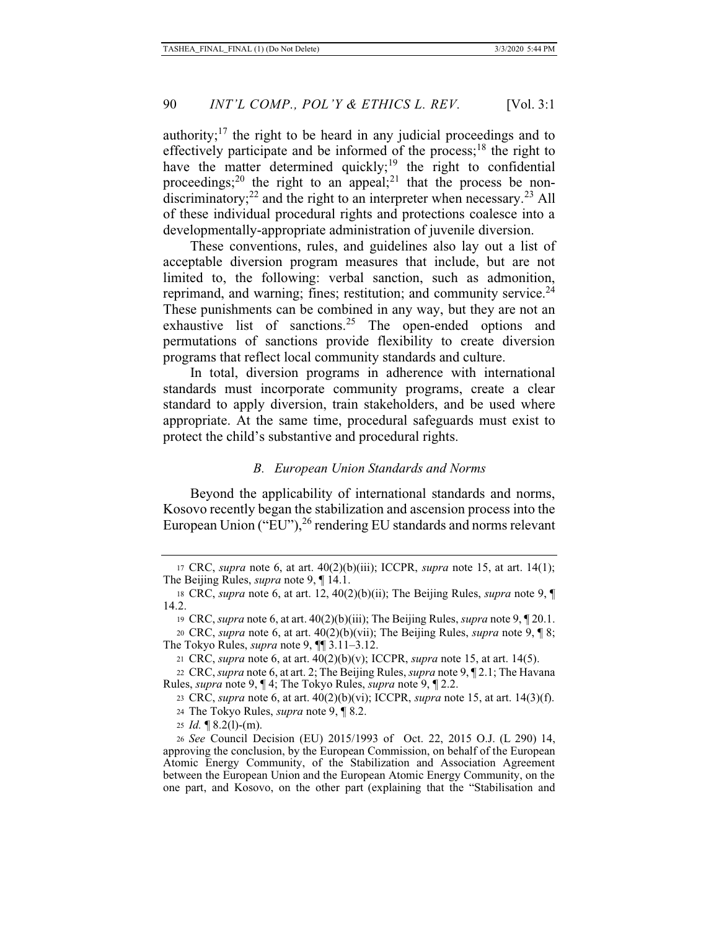authority; $17$  the right to be heard in any judicial proceedings and to effectively participate and be informed of the process;<sup>18</sup> the right to have the matter determined quickly;<sup>19</sup> the right to confidential proceedings;<sup>20</sup> the right to an appeal;<sup>21</sup> that the process be nondiscriminatory;<sup>22</sup> and the right to an interpreter when necessary.<sup>23</sup> All of these individual procedural rights and protections coalesce into a developmentally-appropriate administration of juvenile diversion.

These conventions, rules, and guidelines also lay out a list of acceptable diversion program measures that include, but are not limited to, the following: verbal sanction, such as admonition, reprimand, and warning; fines; restitution; and community service. $^{24}$ These punishments can be combined in any way, but they are not an exhaustive list of sanctions.<sup>25</sup> The open-ended options and permutations of sanctions provide flexibility to create diversion programs that reflect local community standards and culture.

In total, diversion programs in adherence with international standards must incorporate community programs, create a clear standard to apply diversion, train stakeholders, and be used where appropriate. At the same time, procedural safeguards must exist to protect the child's substantive and procedural rights.

#### *B. European Union Standards and Norms*

Beyond the applicability of international standards and norms, Kosovo recently began the stabilization and ascension process into the European Union ("EU"), <sup>26</sup> rendering EU standards and norms relevant

<sup>17</sup> CRC, *supra* note 6, at art. 40(2)(b)(iii); ICCPR, *supra* note 15, at art. 14(1); The Beijing Rules, *supra* note 9, ¶ 14.1.

<sup>18</sup> CRC, *supra* note 6, at art. 12, 40(2)(b)(ii); The Beijing Rules, *supra* note 9, ¶ 14.2.

<sup>19</sup> CRC, *supra* note 6, at art. 40(2)(b)(iii); The Beijing Rules, *supra* note 9, ¶ 20.1.

<sup>20</sup> CRC, *supra* note 6, at art. 40(2)(b)(vii); The Beijing Rules, *supra* note 9, ¶ 8; The Tokyo Rules, *supra* note 9, ¶¶ 3.11–3.12.

<sup>21</sup> CRC, *supra* note 6, at art. 40(2)(b)(v); ICCPR, *supra* note 15, at art. 14(5).

<sup>22</sup> CRC, *supra* note 6, at art. 2; The Beijing Rules, *supra* note 9, ¶ 2.1; The Havana Rules, *supra* note 9, ¶ 4; The Tokyo Rules, *supra* note 9, ¶ 2.2.

<sup>23</sup> CRC, *supra* note 6, at art. 40(2)(b)(vi); ICCPR, *supra* note 15, at art. 14(3)(f).

<sup>24</sup> The Tokyo Rules, *supra* note 9, ¶ 8.2.

<sup>25</sup> *Id.* ¶ 8.2(l)-(m).

<sup>26</sup> *See* Council Decision (EU) 2015/1993 of Oct. 22, 2015 O.J. (L 290) 14, approving the conclusion, by the European Commission, on behalf of the European Atomic Energy Community, of the Stabilization and Association Agreement between the European Union and the European Atomic Energy Community, on the one part, and Kosovo, on the other part (explaining that the "Stabilisation and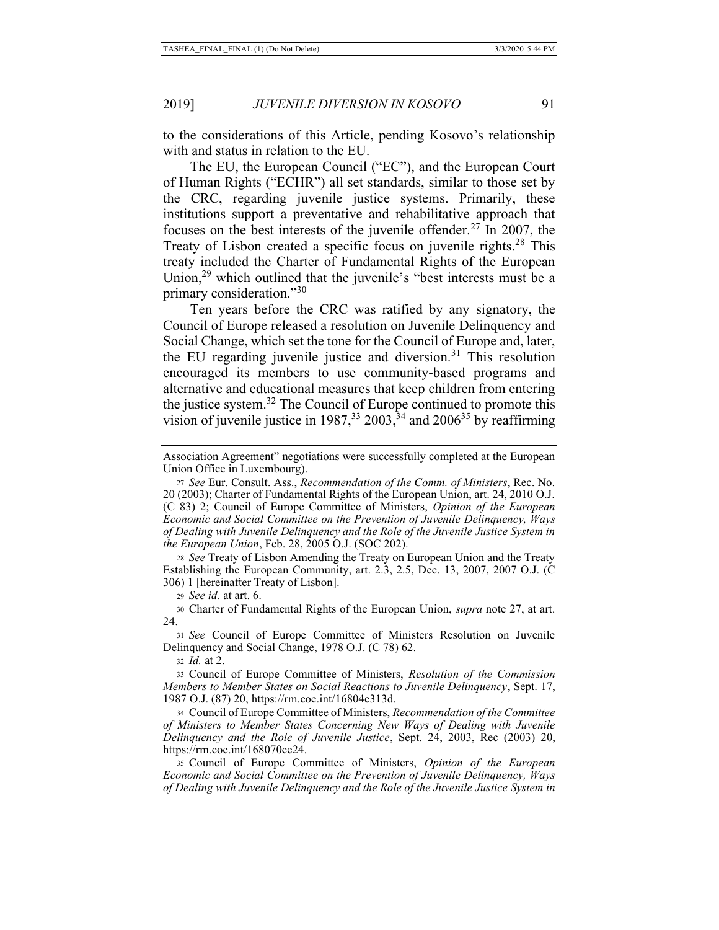to the considerations of this Article, pending Kosovo's relationship with and status in relation to the EU.

The EU, the European Council ("EC"), and the European Court of Human Rights ("ECHR") all set standards, similar to those set by the CRC, regarding juvenile justice systems. Primarily, these institutions support a preventative and rehabilitative approach that focuses on the best interests of the juvenile offender.<sup>27</sup> In 2007, the Treaty of Lisbon created a specific focus on juvenile rights.<sup>28</sup> This treaty included the Charter of Fundamental Rights of the European Union,29 which outlined that the juvenile's "best interests must be a primary consideration."30

Ten years before the CRC was ratified by any signatory, the Council of Europe released a resolution on Juvenile Delinquency and Social Change, which set the tone for the Council of Europe and, later, the EU regarding juvenile justice and diversion.<sup>31</sup> This resolution encouraged its members to use community-based programs and alternative and educational measures that keep children from entering the justice system.<sup>32</sup> The Council of Europe continued to promote this vision of juvenile justice in  $1987<sup>33</sup>$ ,  $2003<sup>34</sup>$ , and  $2006<sup>35</sup>$  by reaffirming

<sup>28</sup> *See* Treaty of Lisbon Amending the Treaty on European Union and the Treaty Establishing the European Community, art. 2.3, 2.5, Dec. 13, 2007, 2007 O.J. (C 306) 1 [hereinafter Treaty of Lisbon].

<sup>29</sup> *See id.* at art. 6.

30 Charter of Fundamental Rights of the European Union, *supra* note 27, at art. 24.

<sup>31</sup> *See* Council of Europe Committee of Ministers Resolution on Juvenile Delinquency and Social Change, 1978 O.J. (C 78) 62.

<sup>32</sup> *Id.* at 2.

33 Council of Europe Committee of Ministers, *Resolution of the Commission Members to Member States on Social Reactions to Juvenile Delinquency*, Sept. 17, 1987 O.J. (87) 20, https://rm.coe.int/16804e313d.

34 Council of Europe Committee of Ministers, *Recommendation of the Committee of Ministers to Member States Concerning New Ways of Dealing with Juvenile Delinquency and the Role of Juvenile Justice*, Sept. 24, 2003, Rec (2003) 20, https://rm.coe.int/168070ce24.

35 Council of Europe Committee of Ministers, *Opinion of the European Economic and Social Committee on the Prevention of Juvenile Delinquency, Ways of Dealing with Juvenile Delinquency and the Role of the Juvenile Justice System in* 

Association Agreement" negotiations were successfully completed at the European Union Office in Luxembourg).

<sup>27</sup> *See* Eur. Consult. Ass., *Recommendation of the Comm. of Ministers*, Rec. No. 20 (2003); Charter of Fundamental Rights of the European Union, art. 24, 2010 O.J. (C 83) 2; Council of Europe Committee of Ministers, *Opinion of the European Economic and Social Committee on the Prevention of Juvenile Delinquency, Ways of Dealing with Juvenile Delinquency and the Role of the Juvenile Justice System in the European Union*, Feb. 28, 2005 O.J. (SOC 202).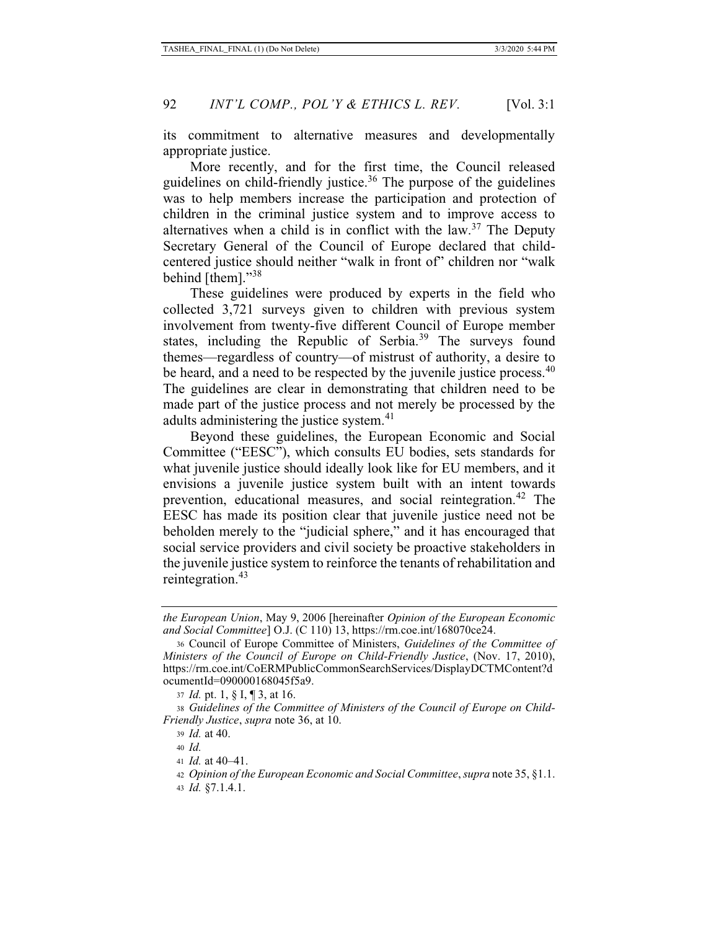its commitment to alternative measures and developmentally appropriate justice.

More recently, and for the first time, the Council released guidelines on child-friendly justice.<sup>36</sup> The purpose of the guidelines was to help members increase the participation and protection of children in the criminal justice system and to improve access to alternatives when a child is in conflict with the  $law<sup>37</sup>$ . The Deputy Secretary General of the Council of Europe declared that childcentered justice should neither "walk in front of" children nor "walk behind [them]."38

These guidelines were produced by experts in the field who collected 3,721 surveys given to children with previous system involvement from twenty-five different Council of Europe member states, including the Republic of Serbia.<sup>39</sup> The surveys found themes—regardless of country—of mistrust of authority, a desire to be heard, and a need to be respected by the juvenile justice process.<sup>40</sup> The guidelines are clear in demonstrating that children need to be made part of the justice process and not merely be processed by the adults administering the justice system.<sup>41</sup>

Beyond these guidelines, the European Economic and Social Committee ("EESC"), which consults EU bodies, sets standards for what juvenile justice should ideally look like for EU members, and it envisions a juvenile justice system built with an intent towards prevention, educational measures, and social reintegration.<sup>42</sup> The EESC has made its position clear that juvenile justice need not be beholden merely to the "judicial sphere," and it has encouraged that social service providers and civil society be proactive stakeholders in the juvenile justice system to reinforce the tenants of rehabilitation and reintegration.<sup>43</sup>

*the European Union*, May 9, 2006 [hereinafter *Opinion of the European Economic and Social Committee*] O.J. (C 110) 13, https://rm.coe.int/168070ce24.

<sup>36</sup> Council of Europe Committee of Ministers, *Guidelines of the Committee of Ministers of the Council of Europe on Child-Friendly Justice*, (Nov. 17, 2010), https://rm.coe.int/CoERMPublicCommonSearchServices/DisplayDCTMContent?d ocumentId=090000168045f5a9.

<sup>37</sup> *Id.* pt. 1, § I, ¶ 3, at 16.

<sup>38</sup> *Guidelines of the Committee of Ministers of the Council of Europe on Child-Friendly Justice*, *supra* note 36, at 10.

<sup>39</sup> *Id.* at 40.

<sup>40</sup> *Id.*

<sup>41</sup> *Id.* at 40–41.

<sup>42</sup> *Opinion of the European Economic and Social Committee*, *supra* note 35, §1.1.

<sup>43</sup> *Id.* §7.1.4.1.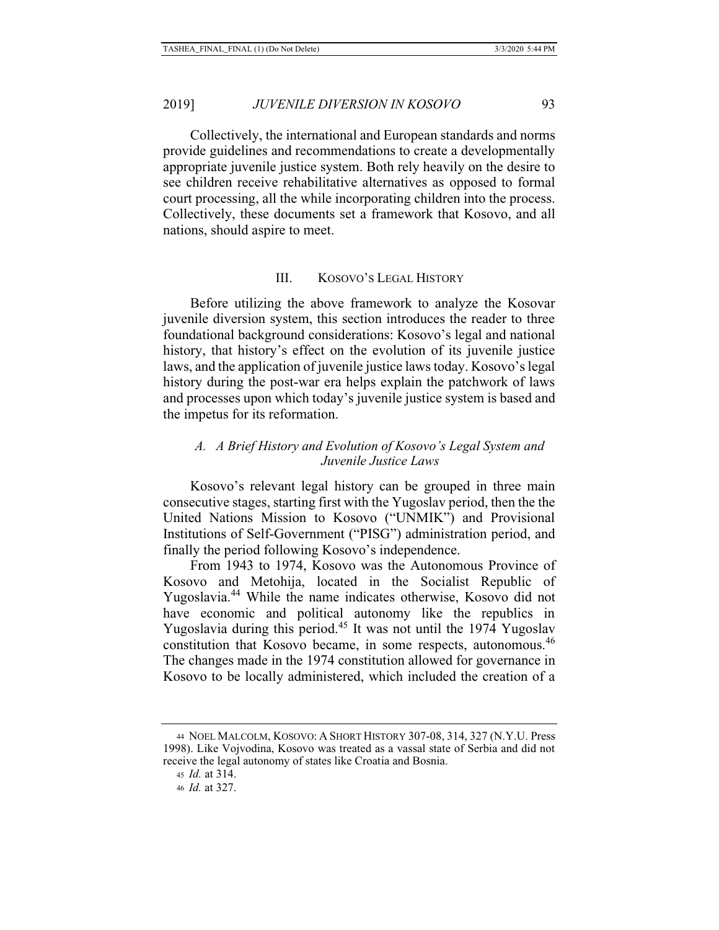Collectively, the international and European standards and norms provide guidelines and recommendations to create a developmentally appropriate juvenile justice system. Both rely heavily on the desire to see children receive rehabilitative alternatives as opposed to formal court processing, all the while incorporating children into the process. Collectively, these documents set a framework that Kosovo, and all nations, should aspire to meet.

### III. KOSOVO'S LEGAL HISTORY

Before utilizing the above framework to analyze the Kosovar juvenile diversion system, this section introduces the reader to three foundational background considerations: Kosovo's legal and national history, that history's effect on the evolution of its juvenile justice laws, and the application of juvenile justice laws today. Kosovo's legal history during the post-war era helps explain the patchwork of laws and processes upon which today's juvenile justice system is based and the impetus for its reformation.

## *A. A Brief History and Evolution of Kosovo's Legal System and Juvenile Justice Laws*

Kosovo's relevant legal history can be grouped in three main consecutive stages, starting first with the Yugoslav period, then the the United Nations Mission to Kosovo ("UNMIK") and Provisional Institutions of Self-Government ("PISG") administration period, and finally the period following Kosovo's independence.

From 1943 to 1974, Kosovo was the Autonomous Province of Kosovo and Metohija, located in the Socialist Republic of Yugoslavia.44 While the name indicates otherwise, Kosovo did not have economic and political autonomy like the republics in Yugoslavia during this period.<sup>45</sup> It was not until the 1974 Yugoslav constitution that Kosovo became, in some respects, autonomous.<sup>46</sup> The changes made in the 1974 constitution allowed for governance in Kosovo to be locally administered, which included the creation of a

<sup>44</sup> NOEL MALCOLM, KOSOVO: A SHORT HISTORY 307-08, 314, 327 (N.Y.U. Press 1998). Like Vojvodina, Kosovo was treated as a vassal state of Serbia and did not receive the legal autonomy of states like Croatia and Bosnia.

<sup>45</sup> *Id.* at 314.

<sup>46</sup> *Id.* at 327.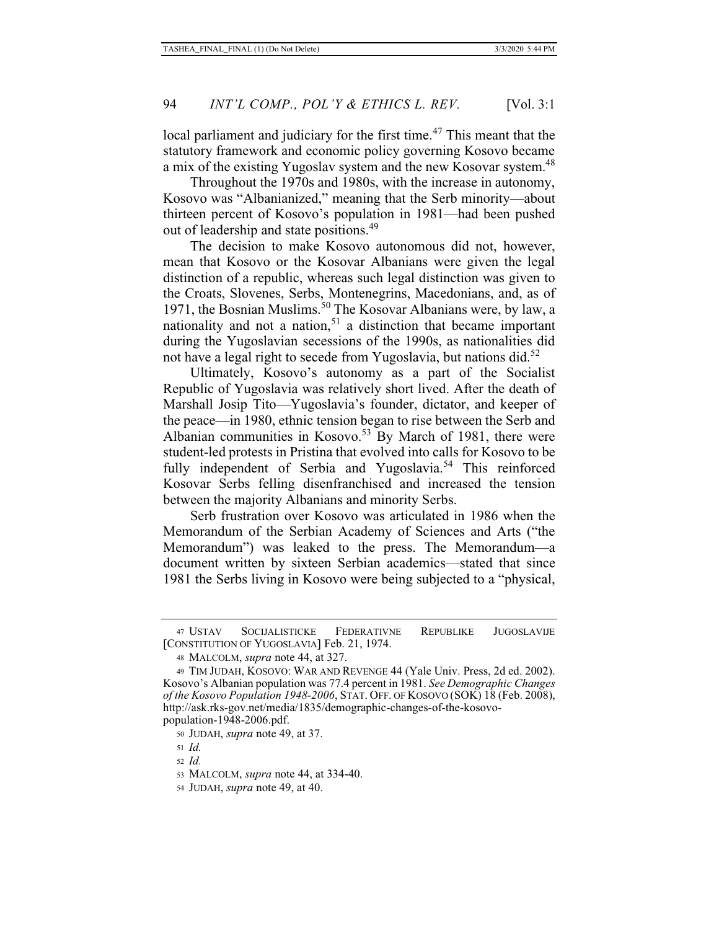local parliament and judiciary for the first time.<sup>47</sup> This meant that the statutory framework and economic policy governing Kosovo became a mix of the existing Yugoslav system and the new Kosovar system.<sup>48</sup>

Throughout the 1970s and 1980s, with the increase in autonomy, Kosovo was "Albanianized," meaning that the Serb minority—about thirteen percent of Kosovo's population in 1981—had been pushed out of leadership and state positions.<sup>49</sup>

The decision to make Kosovo autonomous did not, however, mean that Kosovo or the Kosovar Albanians were given the legal distinction of a republic, whereas such legal distinction was given to the Croats, Slovenes, Serbs, Montenegrins, Macedonians, and, as of 1971, the Bosnian Muslims.<sup>50</sup> The Kosovar Albanians were, by law, a nationality and not a nation,<sup>51</sup> a distinction that became important during the Yugoslavian secessions of the 1990s, as nationalities did not have a legal right to secede from Yugoslavia, but nations did.<sup>52</sup>

Ultimately, Kosovo's autonomy as a part of the Socialist Republic of Yugoslavia was relatively short lived. After the death of Marshall Josip Tito—Yugoslavia's founder, dictator, and keeper of the peace—in 1980, ethnic tension began to rise between the Serb and Albanian communities in Kosovo.<sup>53</sup> By March of 1981, there were student-led protests in Pristina that evolved into calls for Kosovo to be fully independent of Serbia and Yugoslavia.<sup>54</sup> This reinforced Kosovar Serbs felling disenfranchised and increased the tension between the majority Albanians and minority Serbs.

Serb frustration over Kosovo was articulated in 1986 when the Memorandum of the Serbian Academy of Sciences and Arts ("the Memorandum") was leaked to the press. The Memorandum—a document written by sixteen Serbian academics—stated that since 1981 the Serbs living in Kosovo were being subjected to a "physical,

<sup>50</sup> JUDAH, *supra* note 49, at 37.

<sup>47</sup> USTAV SOCIJALISTICKE FEDERATIVNE REPUBLIKE JUGOSLAVIJE [CONSTITUTION OF YUGOSLAVIA] Feb. 21, 1974.

<sup>48</sup> MALCOLM, *supra* note 44, at 327.

<sup>49</sup> TIM JUDAH, KOSOVO: WAR AND REVENGE 44 (Yale Univ. Press, 2d ed. 2002). Kosovo's Albanian population was 77.4 percent in 1981. *See Demographic Changes of the Kosovo Population 1948-2006*, STAT. OFF. OF KOSOVO (SOK) 18 (Feb. 2008), http://ask.rks-gov.net/media/1835/demographic-changes-of-the-kosovopopulation-1948-2006.pdf.

<sup>51</sup> *Id.*

<sup>52</sup> *Id.*

<sup>53</sup> MALCOLM, *supra* note 44, at 334-40.

<sup>54</sup> JUDAH, *supra* note 49, at 40.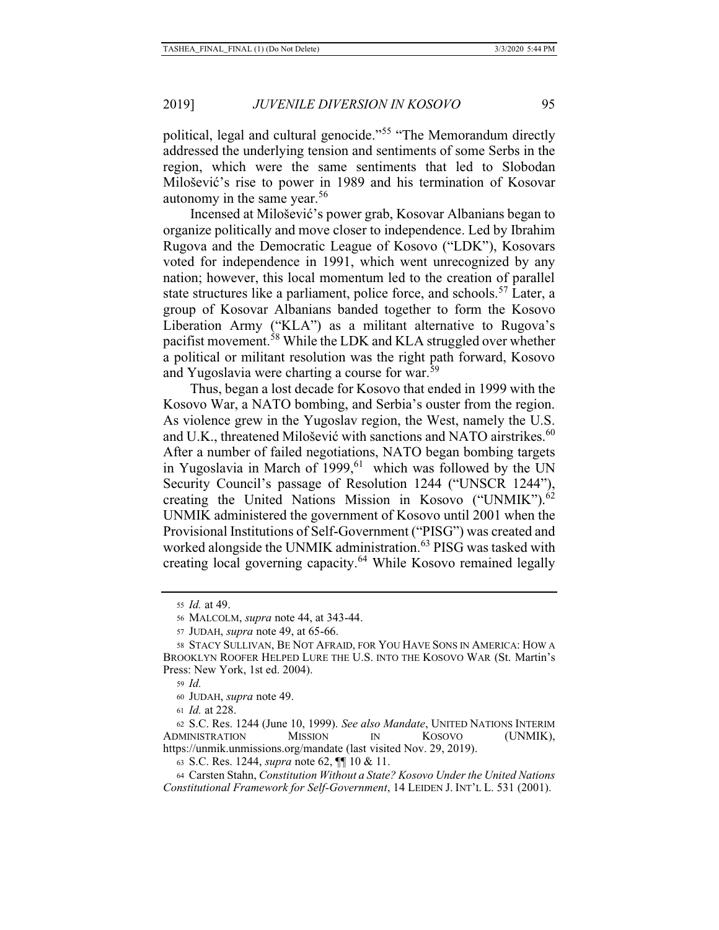political, legal and cultural genocide."<sup>55</sup> "The Memorandum directly addressed the underlying tension and sentiments of some Serbs in the region, which were the same sentiments that led to Slobodan Milošević's rise to power in 1989 and his termination of Kosovar autonomy in the same year. $56$ 

Incensed at Milošević's power grab, Kosovar Albanians began to organize politically and move closer to independence. Led by Ibrahim Rugova and the Democratic League of Kosovo ("LDK"), Kosovars voted for independence in 1991, which went unrecognized by any nation; however, this local momentum led to the creation of parallel state structures like a parliament, police force, and schools.<sup>57</sup> Later, a group of Kosovar Albanians banded together to form the Kosovo Liberation Army ("KLA") as a militant alternative to Rugova's pacifist movement.<sup>58</sup> While the LDK and KLA struggled over whether a political or militant resolution was the right path forward, Kosovo and Yugoslavia were charting a course for war.<sup>59</sup>

Thus, began a lost decade for Kosovo that ended in 1999 with the Kosovo War, a NATO bombing, and Serbia's ouster from the region. As violence grew in the Yugoslav region, the West, namely the U.S. and U.K., threatened Milošević with sanctions and NATO airstrikes.<sup>60</sup> After a number of failed negotiations, NATO began bombing targets in Yugoslavia in March of  $1999$ , <sup>61</sup> which was followed by the UN Security Council's passage of Resolution 1244 ("UNSCR 1244"), creating the United Nations Mission in Kosovo ("UNMIK").<sup>62</sup> UNMIK administered the government of Kosovo until 2001 when the Provisional Institutions of Self-Government ("PISG") was created and worked alongside the UNMIK administration.<sup>63</sup> PISG was tasked with creating local governing capacity.64 While Kosovo remained legally

<sup>59</sup> *Id.*

<sup>61</sup> *Id.* at 228.

62 S.C. Res. 1244 (June 10, 1999). *See also Mandate*, UNITED NATIONS INTERIM ADMINISTRATION MISSION IN KOSOVO (UNMIK), https://unmik.unmissions.org/mandate (last visited Nov. 29, 2019).

<sup>55</sup> *Id.* at 49.

<sup>56</sup> MALCOLM, *supra* note 44, at 343-44.

<sup>57</sup> JUDAH, *supra* note 49, at 65-66.

<sup>58</sup> STACY SULLIVAN, BE NOT AFRAID, FOR YOU HAVE SONS IN AMERICA: HOW A BROOKLYN ROOFER HELPED LURE THE U.S. INTO THE KOSOVO WAR (St. Martin's Press: New York, 1st ed. 2004).

<sup>60</sup> JUDAH, *supra* note 49.

<sup>63</sup> S.C. Res. 1244, *supra* note 62, ¶¶ 10 & 11.

<sup>64</sup> Carsten Stahn, *Constitution Without a State? Kosovo Under the United Nations Constitutional Framework for Self-Government*, 14 LEIDEN J. INT'L L. 531 (2001).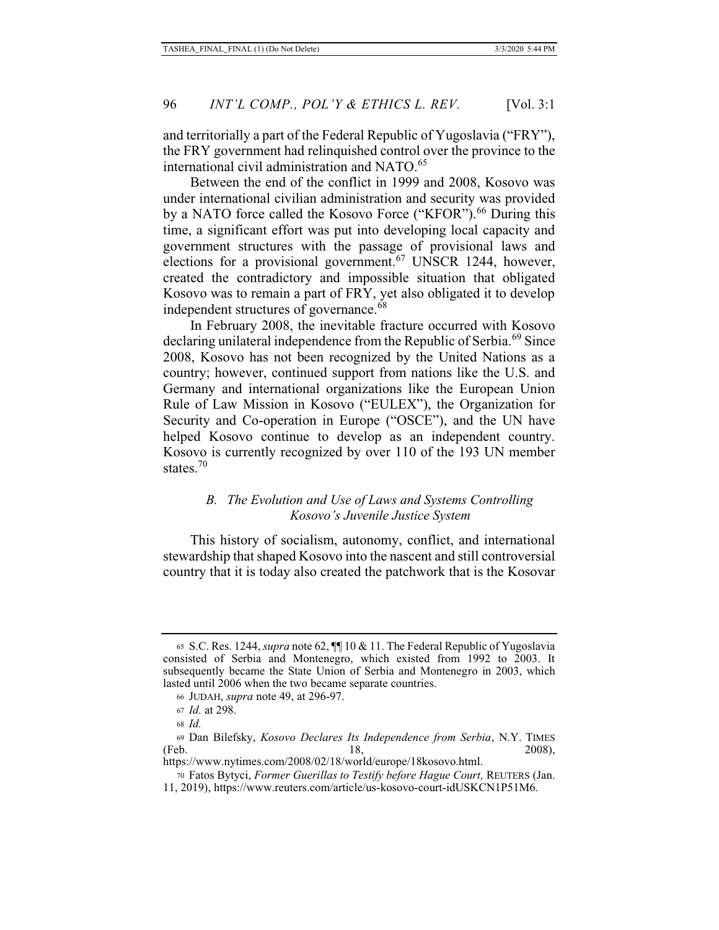and territorially a part of the Federal Republic of Yugoslavia ("FRY"), the FRY government had relinquished control over the province to the international civil administration and NATO.<sup>65</sup>

Between the end of the conflict in 1999 and 2008, Kosovo was under international civilian administration and security was provided by a NATO force called the Kosovo Force ("KFOR").<sup>66</sup> During this time, a significant effort was put into developing local capacity and government structures with the passage of provisional laws and elections for a provisional government.<sup>67</sup> UNSCR 1244, however, created the contradictory and impossible situation that obligated Kosovo was to remain a part of FRY, yet also obligated it to develop independent structures of governance.<sup>68</sup>

In February 2008, the inevitable fracture occurred with Kosovo declaring unilateral independence from the Republic of Serbia.<sup>69</sup> Since 2008, Kosovo has not been recognized by the United Nations as a country; however, continued support from nations like the U.S. and Germany and international organizations like the European Union Rule of Law Mission in Kosovo ("EULEX"), the Organization for Security and Co-operation in Europe ("OSCE"), and the UN have helped Kosovo continue to develop as an independent country. Kosovo is currently recognized by over 110 of the 193 UN member states.<sup>70</sup>

## *B. The Evolution and Use of Laws and Systems Controlling Kosovo's Juvenile Justice System*

This history of socialism, autonomy, conflict, and international stewardship that shaped Kosovo into the nascent and still controversial country that it is today also created the patchwork that is the Kosovar

https://www.nytimes.com/2008/02/18/world/europe/18kosovo.html. 70 Fatos Bytyci, *Former Guerillas to Testify before Hague Court,* REUTERS (Jan.

<sup>65</sup> S.C. Res. 1244, *supra* note 62, ¶¶ 10 & 11. The Federal Republic of Yugoslavia consisted of Serbia and Montenegro, which existed from 1992 to 2003. It subsequently became the State Union of Serbia and Montenegro in 2003, which lasted until 2006 when the two became separate countries.

<sup>66</sup> JUDAH, *supra* note 49, at 296-97.

<sup>67</sup> *Id.* at 298.

<sup>68</sup> *Id.* 

<sup>69</sup> Dan Bilefsky, *Kosovo Declares Its Independence from Serbia*, N.Y. TIMES (Feb. 2008),

<sup>11, 2019),</sup> https://www.reuters.com/article/us-kosovo-court-idUSKCN1P51M6.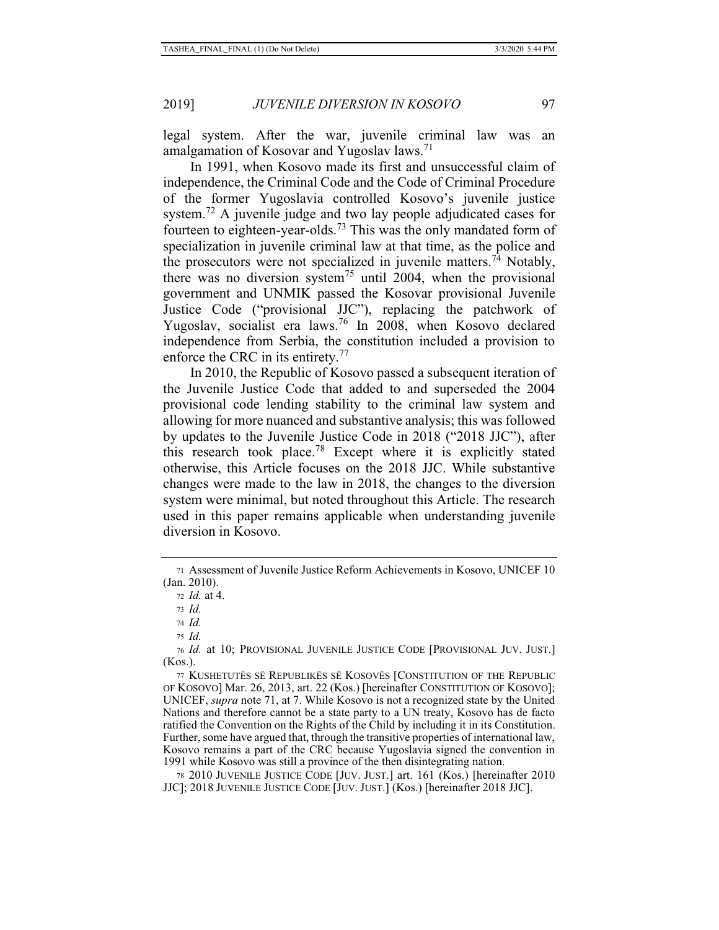legal system. After the war, juvenile criminal law was an amalgamation of Kosovar and Yugoslav laws.<sup>71</sup>

In 1991, when Kosovo made its first and unsuccessful claim of independence, the Criminal Code and the Code of Criminal Procedure of the former Yugoslavia controlled Kosovo's juvenile justice system.<sup>72</sup> A juvenile judge and two lay people adjudicated cases for fourteen to eighteen-year-olds.73 This was the only mandated form of specialization in juvenile criminal law at that time, as the police and the prosecutors were not specialized in juvenile matters.<sup>74</sup> Notably, there was no diversion system<sup>75</sup> until 2004, when the provisional government and UNMIK passed the Kosovar provisional Juvenile Justice Code ("provisional JJC"), replacing the patchwork of Yugoslav, socialist era laws.<sup>76</sup> In 2008, when Kosovo declared independence from Serbia, the constitution included a provision to enforce the CRC in its entirety.<sup>77</sup>

In 2010, the Republic of Kosovo passed a subsequent iteration of the Juvenile Justice Code that added to and superseded the 2004 provisional code lending stability to the criminal law system and allowing for more nuanced and substantive analysis; this was followed by updates to the Juvenile Justice Code in 2018 ("2018 JJC"), after this research took place.78 Except where it is explicitly stated otherwise, this Article focuses on the 2018 JJC. While substantive changes were made to the law in 2018, the changes to the diversion system were minimal, but noted throughout this Article. The research used in this paper remains applicable when understanding juvenile diversion in Kosovo.

78 2010 JUVENILE JUSTICE CODE [JUV. JUST.] art. 161 (Kos.) [hereinafter 2010 JJC]; 2018 JUVENILE JUSTICE CODE [JUV. JUST.] (Kos.) [hereinafter 2018 JJC].

<sup>71</sup> Assessment of Juvenile Justice Reform Achievements in Kosovo, UNICEF 10 (Jan. 2010).

<sup>72</sup> *Id.* at 4.

<sup>73</sup> *Id.*

<sup>74</sup> *Id.*

<sup>75</sup> *Id.*

<sup>76</sup> *Id.* at 10; PROVISIONAL JUVENILE JUSTICE CODE [PROVISIONAL JUV. JUST.] (Kos.).

<sup>77</sup> KUSHETUTËS SË REPUBLIKËS SË KOSOVËS [CONSTITUTION OF THE REPUBLIC OF KOSOVO] Mar. 26, 2013, art. 22 (Kos.) [hereinafter CONSTITUTION OF KOSOVO]; UNICEF, *supra* note 71, at 7. While Kosovo is not a recognized state by the United Nations and therefore cannot be a state party to a UN treaty, Kosovo has de facto ratified the Convention on the Rights of the Child by including it in its Constitution. Further, some have argued that, through the transitive properties of international law, Kosovo remains a part of the CRC because Yugoslavia signed the convention in 1991 while Kosovo was still a province of the then disintegrating nation.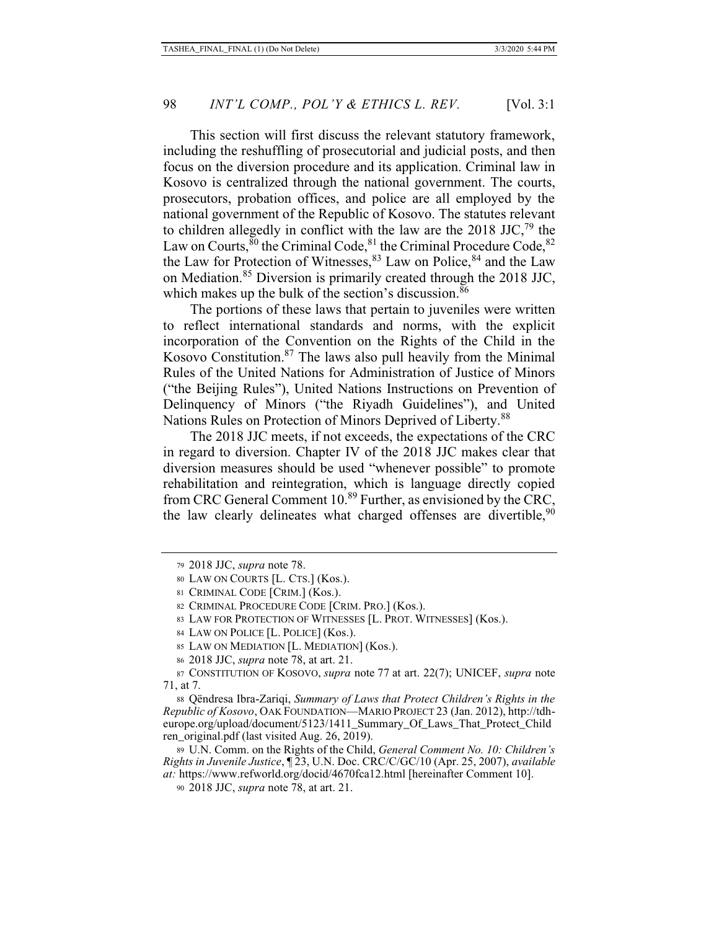This section will first discuss the relevant statutory framework, including the reshuffling of prosecutorial and judicial posts, and then focus on the diversion procedure and its application. Criminal law in Kosovo is centralized through the national government. The courts, prosecutors, probation offices, and police are all employed by the national government of the Republic of Kosovo. The statutes relevant to children allegedly in conflict with the law are the 2018 JJC, $^{79}$  the Law on Courts,  $80$  the Criminal Code,  $81$  the Criminal Procedure Code,  $82$ the Law for Protection of Witnesses,  $83$  Law on Police,  $84$  and the Law on Mediation.<sup>85</sup> Diversion is primarily created through the 2018 JJC, which makes up the bulk of the section's discussion.<sup>86</sup>

The portions of these laws that pertain to juveniles were written to reflect international standards and norms, with the explicit incorporation of the Convention on the Rights of the Child in the Kosovo Constitution.87 The laws also pull heavily from the Minimal Rules of the United Nations for Administration of Justice of Minors ("the Beijing Rules"), United Nations Instructions on Prevention of Delinquency of Minors ("the Riyadh Guidelines"), and United Nations Rules on Protection of Minors Deprived of Liberty.<sup>88</sup>

The 2018 JJC meets, if not exceeds, the expectations of the CRC in regard to diversion. Chapter IV of the 2018 JJC makes clear that diversion measures should be used "whenever possible" to promote rehabilitation and reintegration, which is language directly copied from CRC General Comment 10.<sup>89</sup> Further, as envisioned by the CRC, the law clearly delineates what charged offenses are divertible,  $90$ 

88 Qëndresa Ibra-Zariqi, *Summary of Laws that Protect Children's Rights in the Republic of Kosovo*, OAK FOUNDATION—MARIO PROJECT 23 (Jan. 2012), http://tdheurope.org/upload/document/5123/1411\_Summary\_Of\_Laws\_That\_Protect\_Child ren\_original.pdf (last visited Aug. 26, 2019).

89 U.N. Comm. on the Rights of the Child, *General Comment No. 10: Children's Rights in Juvenile Justice*, ¶ 23, U.N. Doc. CRC/C/GC/10 (Apr. 25, 2007), *available at:* https://www.refworld.org/docid/4670fca12.html [hereinafter Comment 10].

<sup>79</sup> 2018 JJC, *supra* note 78.

<sup>80</sup> LAW ON COURTS [L. CTS.] (Kos.).

<sup>81</sup> CRIMINAL CODE [CRIM.] (Kos.).

<sup>82</sup> CRIMINAL PROCEDURE CODE [CRIM. PRO.] (Kos.).

<sup>83</sup> LAW FOR PROTECTION OF WITNESSES [L. PROT. WITNESSES] (Kos.).

<sup>84</sup> LAW ON POLICE [L. POLICE] (Kos.).

<sup>85</sup> LAW ON MEDIATION [L. MEDIATION] (Kos.).

<sup>86 2018</sup> JJC, *supra* note 78, at art. 21.

<sup>87</sup> CONSTITUTION OF KOSOVO, *supra* note 77 at art. 22(7); UNICEF, *supra* note 71, at 7.

<sup>90 2018</sup> JJC, *supra* note 78, at art. 21.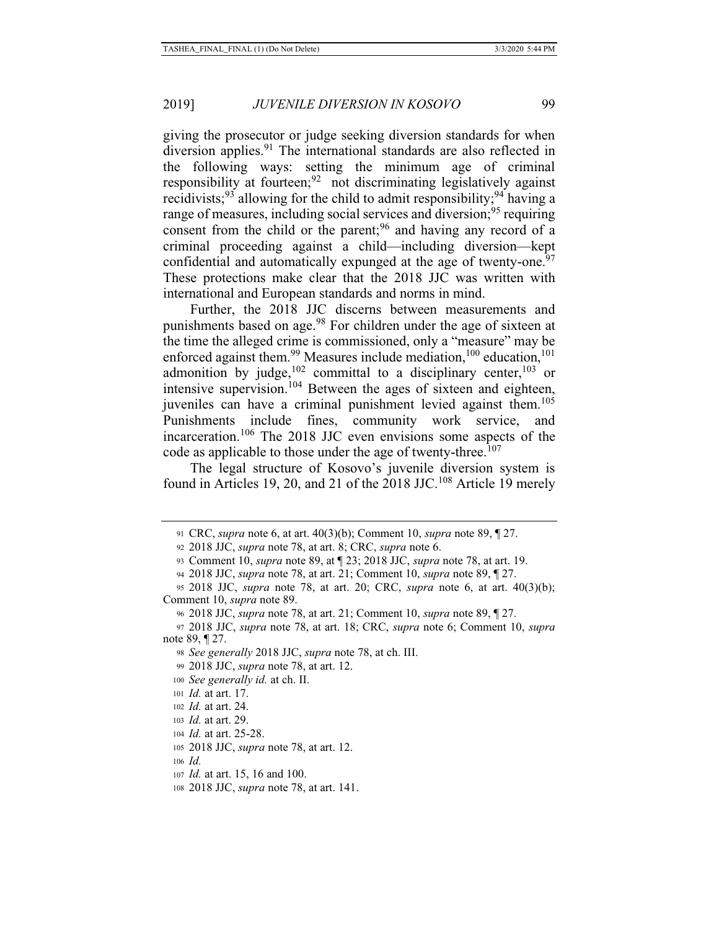giving the prosecutor or judge seeking diversion standards for when diversion applies.<sup>91</sup> The international standards are also reflected in the following ways: setting the minimum age of criminal responsibility at fourteen;<sup>92</sup> not discriminating legislatively against recidivists;<sup>93</sup> allowing for the child to admit responsibility;<sup>94</sup> having a range of measures, including social services and diversion;<sup>95</sup> requiring consent from the child or the parent;<sup>96</sup> and having any record of a criminal proceeding against a child—including diversion—kept confidential and automatically expunged at the age of twenty-one.<sup>97</sup> These protections make clear that the 2018 JJC was written with international and European standards and norms in mind.

Further, the 2018 JJC discerns between measurements and punishments based on age.<sup>98</sup> For children under the age of sixteen at the time the alleged crime is commissioned, only a "measure" may be enforced against them.<sup>99</sup> Measures include mediation,<sup>100</sup> education,<sup>101</sup> admonition by judge,  $102$  committal to a disciplinary center,  $103$  or intensive supervision.<sup>104</sup> Between the ages of sixteen and eighteen, juveniles can have a criminal punishment levied against them.<sup>105</sup> Punishments include fines, community work service, and incarceration.106 The 2018 JJC even envisions some aspects of the code as applicable to those under the age of twenty-three.<sup>107</sup>

The legal structure of Kosovo's juvenile diversion system is found in Articles 19, 20, and 21 of the 2018 JJC.<sup>108</sup> Article 19 merely

<sup>91</sup> CRC, *supra* note 6, at art. 40(3)(b); Comment 10, *supra* note 89, ¶ 27.

<sup>92 2018</sup> JJC, *supra* note 78, at art. 8; CRC, *supra* note 6.

<sup>93</sup> Comment 10, *supra* note 89, at ¶ 23; 2018 JJC, *supra* note 78, at art. 19.

<sup>94 2018</sup> JJC, *supra* note 78, at art. 21; Comment 10, *supra* note 89, ¶ 27.

<sup>95 2018</sup> JJC, *supra* note 78, at art. 20; CRC, *supra* note 6, at art. 40(3)(b); Comment 10, *supra* note 89.

<sup>96 2018</sup> JJC, *supra* note 78, at art. 21; Comment 10, *supra* note 89, ¶ 27.

<sup>97 2018</sup> JJC, *supra* note 78, at art. 18; CRC, *supra* note 6; Comment 10, *supra* note 89, ¶ 27.

<sup>98</sup> *See generally* 2018 JJC, *supra* note 78, at ch. III.

<sup>99 2018</sup> JJC, *supra* note 78, at art. 12.

<sup>100</sup> *See generally id.* at ch. II.

<sup>101</sup> *Id.* at art. 17.

<sup>102</sup> *Id.* at art. 24.

<sup>103</sup> *Id.* at art. 29.

<sup>104</sup> *Id.* at art. 25-28.

<sup>105 2018</sup> JJC, *supra* note 78, at art. 12.

<sup>106</sup> *Id.*

<sup>107</sup> *Id.* at art. 15, 16 and 100.

<sup>108 2018</sup> JJC, *supra* note 78, at art. 141.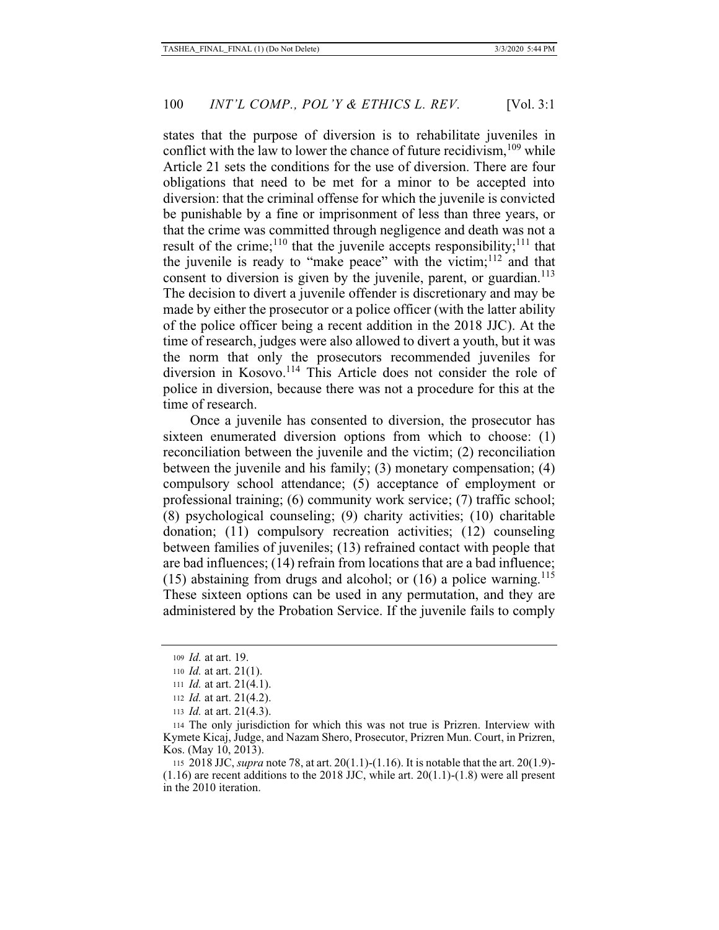states that the purpose of diversion is to rehabilitate juveniles in conflict with the law to lower the chance of future recidivism,  $109$  while Article 21 sets the conditions for the use of diversion. There are four obligations that need to be met for a minor to be accepted into diversion: that the criminal offense for which the juvenile is convicted be punishable by a fine or imprisonment of less than three years, or that the crime was committed through negligence and death was not a result of the crime;<sup>110</sup> that the juvenile accepts responsibility;<sup>111</sup> that the juvenile is ready to "make peace" with the victim; $112$  and that consent to diversion is given by the juvenile, parent, or guardian.<sup>113</sup> The decision to divert a juvenile offender is discretionary and may be made by either the prosecutor or a police officer (with the latter ability of the police officer being a recent addition in the 2018 JJC). At the time of research, judges were also allowed to divert a youth, but it was the norm that only the prosecutors recommended juveniles for diversion in Kosovo.114 This Article does not consider the role of police in diversion, because there was not a procedure for this at the time of research.

Once a juvenile has consented to diversion, the prosecutor has sixteen enumerated diversion options from which to choose: (1) reconciliation between the juvenile and the victim; (2) reconciliation between the juvenile and his family; (3) monetary compensation; (4) compulsory school attendance; (5) acceptance of employment or professional training; (6) community work service; (7) traffic school; (8) psychological counseling; (9) charity activities; (10) charitable donation; (11) compulsory recreation activities; (12) counseling between families of juveniles; (13) refrained contact with people that are bad influences; (14) refrain from locations that are a bad influence; (15) abstaining from drugs and alcohol; or  $(16)$  a police warning.<sup>115</sup> These sixteen options can be used in any permutation, and they are administered by the Probation Service. If the juvenile fails to comply

<sup>109</sup> *Id.* at art. 19.

<sup>110</sup> *Id.* at art. 21(1).

<sup>111</sup> *Id.* at art. 21(4.1).

<sup>112</sup> *Id.* at art. 21(4.2).

<sup>113</sup> *Id.* at art. 21(4.3).

<sup>114</sup> The only jurisdiction for which this was not true is Prizren. Interview with Kymete Kicaj, Judge, and Nazam Shero, Prosecutor, Prizren Mun. Court, in Prizren, Kos. (May 10, 2013).

<sup>115 2018</sup> JJC, *supra* note 78, at art. 20(1.1)-(1.16). It is notable that the art. 20(1.9)-  $(1.16)$  are recent additions to the 2018 JJC, while art. 20 $(1.1)$ - $(1.8)$  were all present in the 2010 iteration.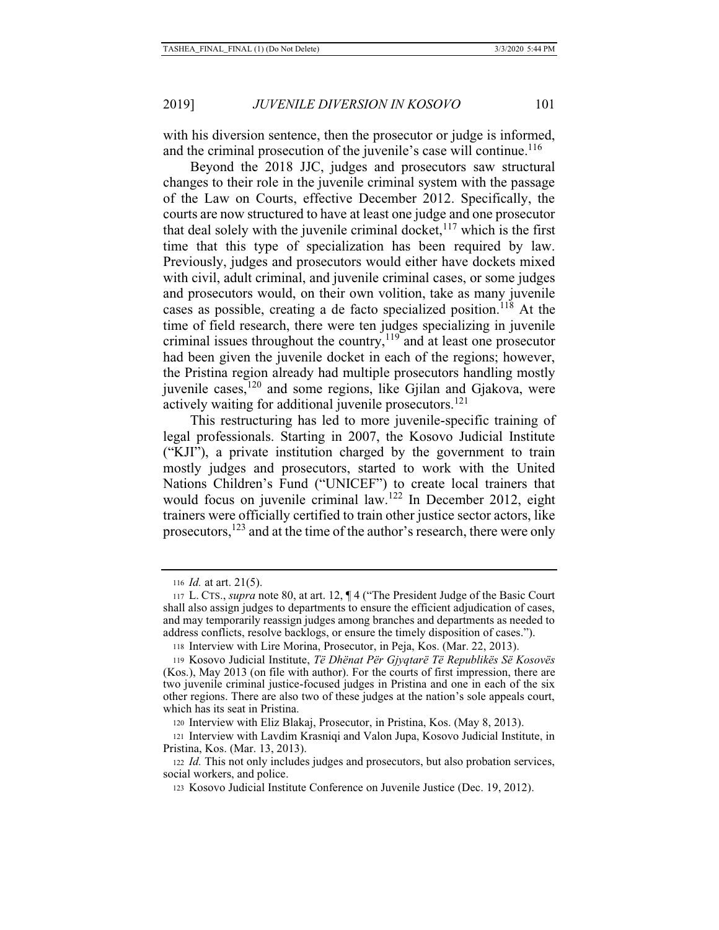with his diversion sentence, then the prosecutor or judge is informed, and the criminal prosecution of the juvenile's case will continue.<sup>116</sup>

Beyond the 2018 JJC, judges and prosecutors saw structural changes to their role in the juvenile criminal system with the passage of the Law on Courts, effective December 2012. Specifically, the courts are now structured to have at least one judge and one prosecutor that deal solely with the juvenile criminal docket,  $117$  which is the first time that this type of specialization has been required by law. Previously, judges and prosecutors would either have dockets mixed with civil, adult criminal, and juvenile criminal cases, or some judges and prosecutors would, on their own volition, take as many juvenile cases as possible, creating a de facto specialized position.<sup>118</sup> At the time of field research, there were ten judges specializing in juvenile criminal issues throughout the country,  $119$  and at least one prosecutor had been given the juvenile docket in each of the regions; however, the Pristina region already had multiple prosecutors handling mostly juvenile cases, $120$  and some regions, like Gjilan and Gjakova, were actively waiting for additional juvenile prosecutors.<sup>121</sup>

This restructuring has led to more juvenile-specific training of legal professionals. Starting in 2007, the Kosovo Judicial Institute ("KJI"), a private institution charged by the government to train mostly judges and prosecutors, started to work with the United Nations Children's Fund ("UNICEF") to create local trainers that would focus on juvenile criminal law.<sup>122</sup> In December 2012, eight trainers were officially certified to train other justice sector actors, like prosecutors,<sup>123</sup> and at the time of the author's research, there were only

<sup>116</sup> *Id.* at art. 21(5).

<sup>117</sup> L. CTS., *supra* note 80, at art. 12, ¶ 4 ("The President Judge of the Basic Court shall also assign judges to departments to ensure the efficient adjudication of cases, and may temporarily reassign judges among branches and departments as needed to address conflicts, resolve backlogs, or ensure the timely disposition of cases.").

<sup>118</sup> Interview with Lire Morina, Prosecutor, in Peja, Kos. (Mar. 22, 2013).

<sup>119</sup> Kosovo Judicial Institute, *Të Dhënat Për Gjyqtarë Të Republikës Së Kosovës* (Kos.), May 2013 (on file with author). For the courts of first impression, there are two juvenile criminal justice-focused judges in Pristina and one in each of the six other regions. There are also two of these judges at the nation's sole appeals court, which has its seat in Pristina.

<sup>120</sup> Interview with Eliz Blakaj, Prosecutor, in Pristina, Kos. (May 8, 2013).

<sup>121</sup> Interview with Lavdim Krasniqi and Valon Jupa, Kosovo Judicial Institute, in Pristina, Kos. (Mar. 13, 2013).

<sup>122</sup> *Id.* This not only includes judges and prosecutors, but also probation services, social workers, and police.

<sup>123</sup> Kosovo Judicial Institute Conference on Juvenile Justice (Dec. 19, 2012).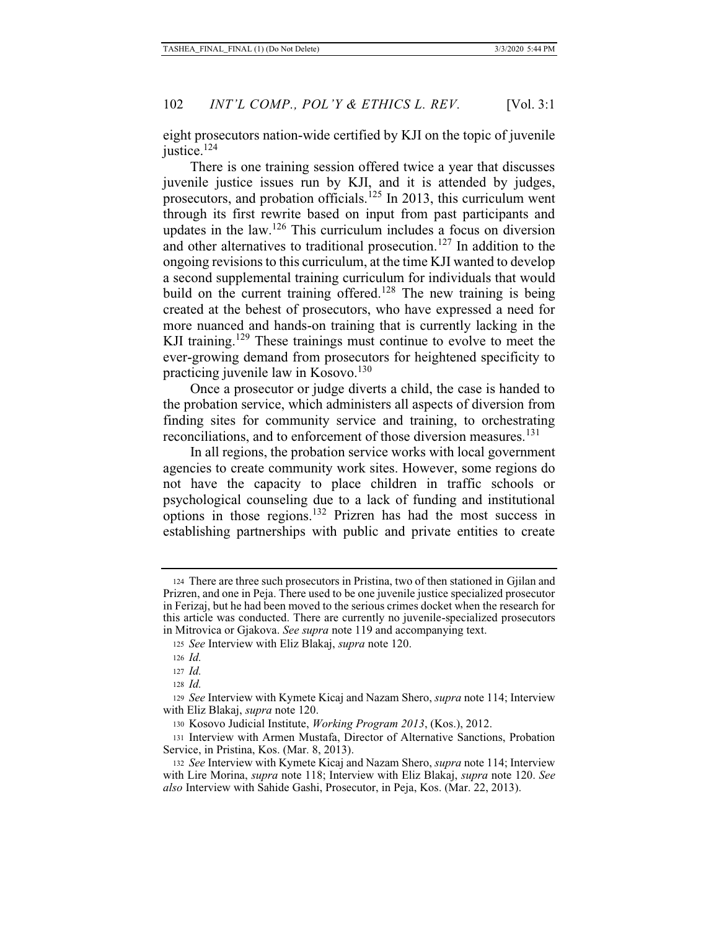eight prosecutors nation-wide certified by KJI on the topic of juvenile justice.<sup>124</sup>

There is one training session offered twice a year that discusses juvenile justice issues run by KJI, and it is attended by judges, prosecutors, and probation officials.<sup>125</sup> In 2013, this curriculum went through its first rewrite based on input from past participants and updates in the law.<sup>126</sup> This curriculum includes a focus on diversion and other alternatives to traditional prosecution.<sup>127</sup> In addition to the ongoing revisions to this curriculum, at the time KJI wanted to develop a second supplemental training curriculum for individuals that would build on the current training offered.<sup>128</sup> The new training is being created at the behest of prosecutors, who have expressed a need for more nuanced and hands-on training that is currently lacking in the KJI training.<sup>129</sup> These trainings must continue to evolve to meet the ever-growing demand from prosecutors for heightened specificity to practicing juvenile law in Kosovo.<sup>130</sup>

Once a prosecutor or judge diverts a child, the case is handed to the probation service, which administers all aspects of diversion from finding sites for community service and training, to orchestrating reconciliations, and to enforcement of those diversion measures.<sup>131</sup>

In all regions, the probation service works with local government agencies to create community work sites. However, some regions do not have the capacity to place children in traffic schools or psychological counseling due to a lack of funding and institutional options in those regions.132 Prizren has had the most success in establishing partnerships with public and private entities to create

<sup>124</sup> There are three such prosecutors in Pristina, two of then stationed in Gjilan and Prizren, and one in Peja. There used to be one juvenile justice specialized prosecutor in Ferizaj, but he had been moved to the serious crimes docket when the research for this article was conducted. There are currently no juvenile-specialized prosecutors in Mitrovica or Gjakova. *See supra* note 119 and accompanying text.

<sup>125</sup> *See* Interview with Eliz Blakaj, *supra* note 120.

<sup>126</sup> *Id.*

<sup>127</sup> *Id.*

<sup>128</sup> *Id.*

<sup>129</sup> *See* Interview with Kymete Kicaj and Nazam Shero, *supra* note 114; Interview with Eliz Blakaj, *supra* note 120.

<sup>130</sup> Kosovo Judicial Institute, *Working Program 2013*, (Kos.), 2012.

<sup>131</sup> Interview with Armen Mustafa, Director of Alternative Sanctions, Probation Service, in Pristina, Kos. (Mar. 8, 2013).

<sup>132</sup> *See* Interview with Kymete Kicaj and Nazam Shero, *supra* note 114; Interview with Lire Morina, *supra* note 118; Interview with Eliz Blakaj, *supra* note 120. *See also* Interview with Sahide Gashi, Prosecutor, in Peja, Kos. (Mar. 22, 2013).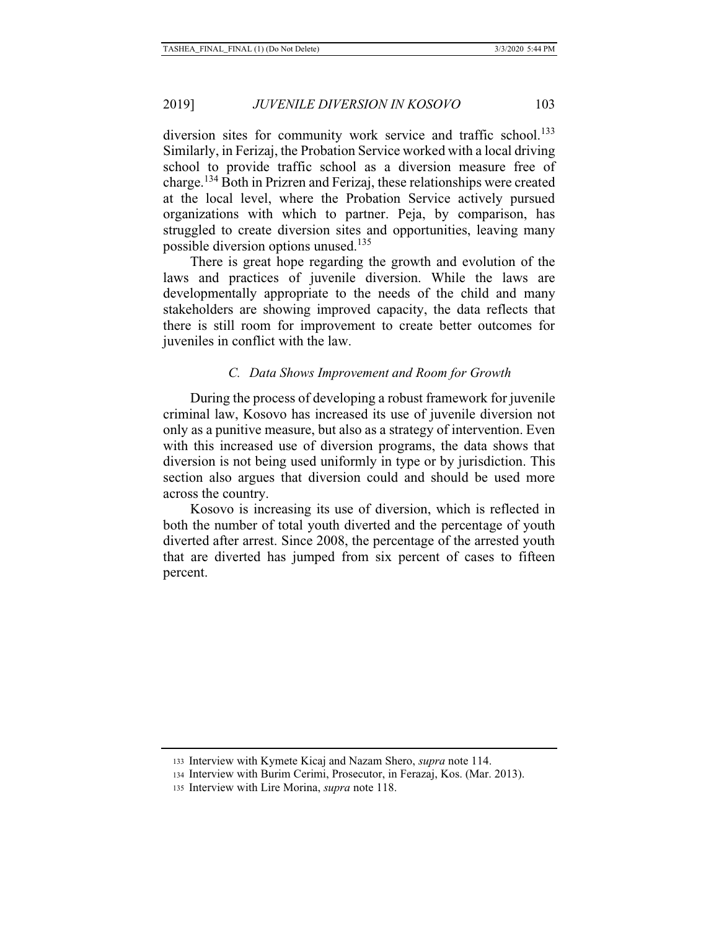diversion sites for community work service and traffic school.<sup>133</sup> Similarly, in Ferizaj, the Probation Service worked with a local driving school to provide traffic school as a diversion measure free of charge.134 Both in Prizren and Ferizaj, these relationships were created at the local level, where the Probation Service actively pursued organizations with which to partner. Peja, by comparison, has struggled to create diversion sites and opportunities, leaving many possible diversion options unused.<sup>135</sup>

There is great hope regarding the growth and evolution of the laws and practices of juvenile diversion. While the laws are developmentally appropriate to the needs of the child and many stakeholders are showing improved capacity, the data reflects that there is still room for improvement to create better outcomes for juveniles in conflict with the law.

#### *C. Data Shows Improvement and Room for Growth*

During the process of developing a robust framework for juvenile criminal law, Kosovo has increased its use of juvenile diversion not only as a punitive measure, but also as a strategy of intervention. Even with this increased use of diversion programs, the data shows that diversion is not being used uniformly in type or by jurisdiction. This section also argues that diversion could and should be used more across the country.

Kosovo is increasing its use of diversion, which is reflected in both the number of total youth diverted and the percentage of youth diverted after arrest. Since 2008, the percentage of the arrested youth that are diverted has jumped from six percent of cases to fifteen percent.

<sup>133</sup> Interview with Kymete Kicaj and Nazam Shero, *supra* note 114.

<sup>134</sup> Interview with Burim Cerimi, Prosecutor, in Ferazaj, Kos. (Mar. 2013).

<sup>135</sup> Interview with Lire Morina, *supra* note 118.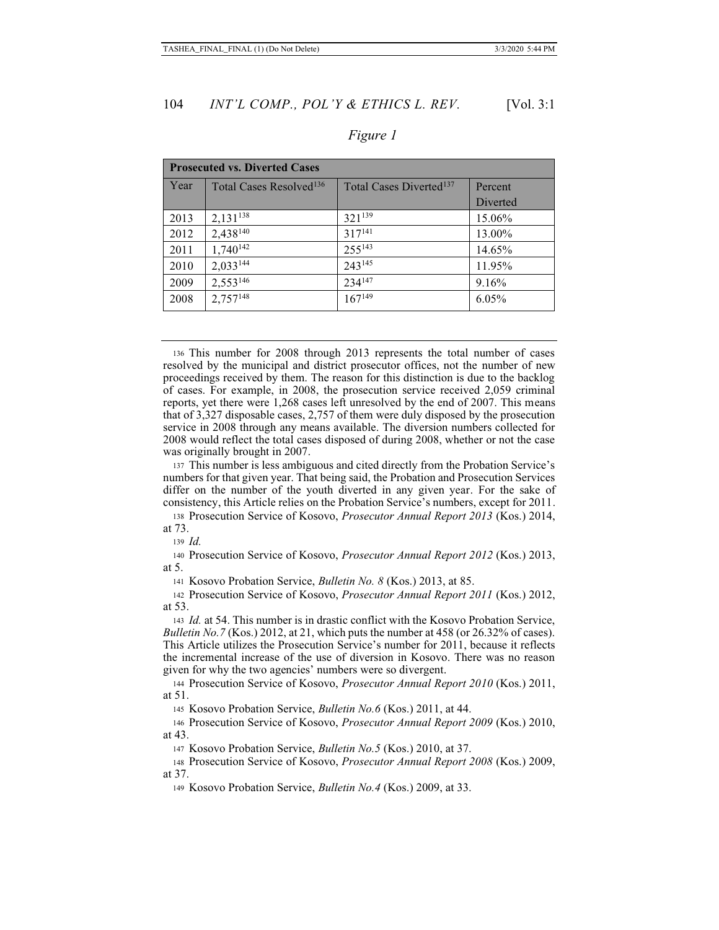| <b>Prosecuted vs. Diverted Cases</b> |                                     |                                     |          |  |
|--------------------------------------|-------------------------------------|-------------------------------------|----------|--|
| Year                                 | Total Cases Resolved <sup>136</sup> | Total Cases Diverted <sup>137</sup> | Percent  |  |
|                                      |                                     |                                     | Diverted |  |
| 2013                                 | $2,131^{138}$                       | 321139                              | 15.06%   |  |
| 2012                                 | 2,438 <sup>140</sup>                | $317^{141}$                         | 13.00%   |  |
| 2011                                 | $1,740^{142}$                       | $255^{143}$                         | 14.65%   |  |
| 2010                                 | $2,033^{144}$                       | $243^{145}$                         | 11.95%   |  |
| 2009                                 | $2,553^{146}$                       | 234147                              | 9.16%    |  |
| 2008                                 | $2,757^{148}$                       | $167^{149}$                         | 6.05%    |  |

## *Figure 1*

136 This number for 2008 through 2013 represents the total number of cases resolved by the municipal and district prosecutor offices, not the number of new proceedings received by them. The reason for this distinction is due to the backlog of cases. For example, in 2008, the prosecution service received 2,059 criminal reports, yet there were 1,268 cases left unresolved by the end of 2007. This means that of 3,327 disposable cases, 2,757 of them were duly disposed by the prosecution service in 2008 through any means available. The diversion numbers collected for 2008 would reflect the total cases disposed of during 2008, whether or not the case was originally brought in 2007.

<sup>137</sup> This number is less ambiguous and cited directly from the Probation Service's numbers for that given year. That being said, the Probation and Prosecution Services differ on the number of the youth diverted in any given year. For the sake of consistency, this Article relies on the Probation Service's numbers, except for 2011.

138 Prosecution Service of Kosovo, *Prosecutor Annual Report 2013* (Kos.) 2014, at 73.

<sup>139</sup> *Id.*

140 Prosecution Service of Kosovo, *Prosecutor Annual Report 2012* (Kos.) 2013, at 5.

141 Kosovo Probation Service, *Bulletin No. 8* (Kos.) 2013, at 85.

142 Prosecution Service of Kosovo, *Prosecutor Annual Report 2011* (Kos.) 2012, at 53.

<sup>143</sup> *Id.* at 54. This number is in drastic conflict with the Kosovo Probation Service, *Bulletin No.7* (Kos.) 2012, at 21, which puts the number at 458 (or 26.32% of cases). This Article utilizes the Prosecution Service's number for 2011, because it reflects the incremental increase of the use of diversion in Kosovo. There was no reason given for why the two agencies' numbers were so divergent.

144 Prosecution Service of Kosovo, *Prosecutor Annual Report 2010* (Kos.) 2011, at 51.

145 Kosovo Probation Service, *Bulletin No.6* (Kos.) 2011, at 44.

146 Prosecution Service of Kosovo, *Prosecutor Annual Report 2009* (Kos.) 2010, at 43.

147 Kosovo Probation Service, *Bulletin No.5* (Kos.) 2010, at 37.

148 Prosecution Service of Kosovo, *Prosecutor Annual Report 2008* (Kos.) 2009, at 37.

149 Kosovo Probation Service, *Bulletin No.4* (Kos.) 2009, at 33.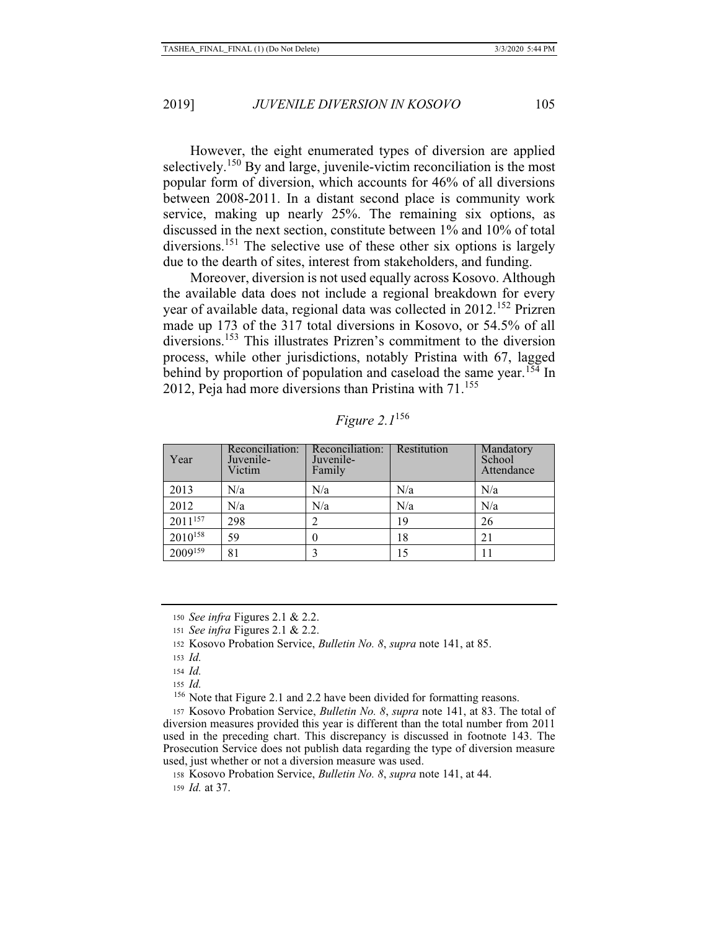However, the eight enumerated types of diversion are applied selectively.<sup>150</sup> By and large, juvenile-victim reconciliation is the most popular form of diversion, which accounts for 46% of all diversions between 2008-2011. In a distant second place is community work service, making up nearly 25%. The remaining six options, as discussed in the next section, constitute between 1% and 10% of total diversions.<sup>151</sup> The selective use of these other six options is largely due to the dearth of sites, interest from stakeholders, and funding.

Moreover, diversion is not used equally across Kosovo. Although the available data does not include a regional breakdown for every year of available data, regional data was collected in 2012.<sup>152</sup> Prizren made up 173 of the 317 total diversions in Kosovo, or 54.5% of all diversions.<sup>153</sup> This illustrates Prizren's commitment to the diversion process, while other jurisdictions, notably Pristina with 67, lagged behind by proportion of population and caseload the same year.<sup>154</sup> In 2012, Peja had more diversions than Pristina with 71.<sup>155</sup>

| Year                | Reconciliation:<br>Juvenile-<br>Victim | Reconciliation:<br>Juvenile-<br>Family                                                                                                                          | Restitution | Mandatory<br>School<br>Attendance |
|---------------------|----------------------------------------|-----------------------------------------------------------------------------------------------------------------------------------------------------------------|-------------|-----------------------------------|
| 2013                | N/a                                    | N/a                                                                                                                                                             | N/a         | N/a                               |
| 2012                | N/a                                    | N/a                                                                                                                                                             | N/a         | N/a                               |
| 2011157             | 298                                    | $\mathcal{D}_{\mathcal{L}}^{\mathcal{L}}(\mathcal{L})=\mathcal{L}_{\mathcal{L}}^{\mathcal{L}}(\mathcal{L})\mathcal{L}_{\mathcal{L}}^{\mathcal{L}}(\mathcal{L})$ | 19          | 26                                |
| 2010 <sup>158</sup> | 59                                     |                                                                                                                                                                 | 18          | 21                                |
| 2009159             | 81                                     |                                                                                                                                                                 | 15          | 11                                |

*Figure 2.1*<sup>156</sup>

<sup>150</sup> *See infra* Figures 2.1 & 2.2.

<sup>155</sup> *Id.* 156 Note that Figure 2.1 and 2.2 have been divided for formatting reasons.

157 Kosovo Probation Service, *Bulletin No. 8*, *supra* note 141, at 83. The total of diversion measures provided this year is different than the total number from 2011 used in the preceding chart. This discrepancy is discussed in footnote 143. The Prosecution Service does not publish data regarding the type of diversion measure used, just whether or not a diversion measure was used.

158 Kosovo Probation Service, *Bulletin No. 8*, *supra* note 141, at 44.

159 *Id.* at 37.

<sup>151</sup> *See infra* Figures 2.1 & 2.2.

<sup>152</sup> Kosovo Probation Service, *Bulletin No. 8*, *supra* note 141, at 85.

<sup>153</sup> *Id.*

<sup>154</sup> *Id.*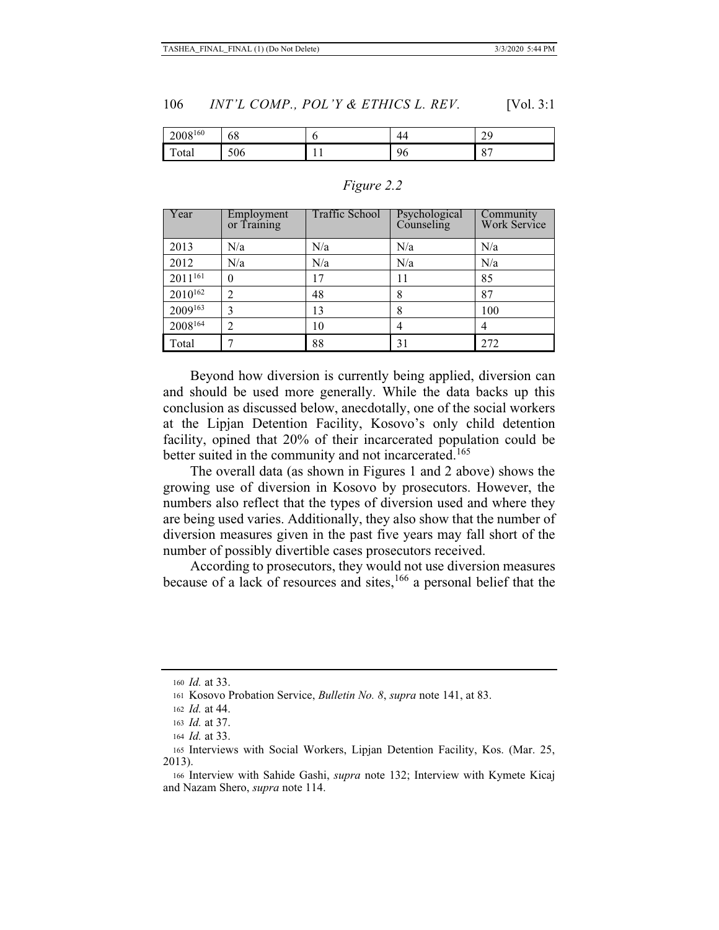| 160<br>2008          | $\sim$<br>oð               |                          | . .                  | ⌒                        |
|----------------------|----------------------------|--------------------------|----------------------|--------------------------|
| $\mathbf{r}$<br>otal | $\epsilon$ $\alpha$<br>500 | $\overline{\phantom{0}}$ | $\sim$<br>- 11<br>'∪ | $\Omega$<br>$\mathbf{o}$ |

#### *Figure 2.2*

| Year                | Employment<br>or Training | Traffic School | Psychological<br>Counseling | <b>Community</b><br>Work Service |
|---------------------|---------------------------|----------------|-----------------------------|----------------------------------|
| 2013                | N/a                       | N/a            | N/a                         | N/a                              |
| 2012                | N/a                       | N/a            | N/a                         | N/a                              |
| 2011 <sup>161</sup> | $\theta$                  | 17             | 11                          | 85                               |
| 2010 <sup>162</sup> |                           | 48             | 8                           | 87                               |
| 2009163             | 3                         | 13             | 8                           | 100                              |
| 2008164             | 2                         | 10             |                             |                                  |
| Total               |                           | 88             | 31                          | 272                              |

Beyond how diversion is currently being applied, diversion can and should be used more generally. While the data backs up this conclusion as discussed below, anecdotally, one of the social workers at the Lipjan Detention Facility, Kosovo's only child detention facility, opined that 20% of their incarcerated population could be better suited in the community and not incarcerated.<sup>165</sup>

The overall data (as shown in Figures 1 and 2 above) shows the growing use of diversion in Kosovo by prosecutors. However, the numbers also reflect that the types of diversion used and where they are being used varies. Additionally, they also show that the number of diversion measures given in the past five years may fall short of the number of possibly divertible cases prosecutors received.

According to prosecutors, they would not use diversion measures because of a lack of resources and sites,166 a personal belief that the

<sup>160</sup> *Id.* at 33.

<sup>161</sup> Kosovo Probation Service, *Bulletin No. 8*, *supra* note 141, at 83.

<sup>162</sup> *Id.* at 44.

<sup>163</sup> *Id.* at 37.

<sup>164</sup> *Id.* at 33.

<sup>165</sup> Interviews with Social Workers, Lipjan Detention Facility, Kos. (Mar. 25, 2013).

<sup>166</sup> Interview with Sahide Gashi, *supra* note 132; Interview with Kymete Kicaj and Nazam Shero, *supra* note 114.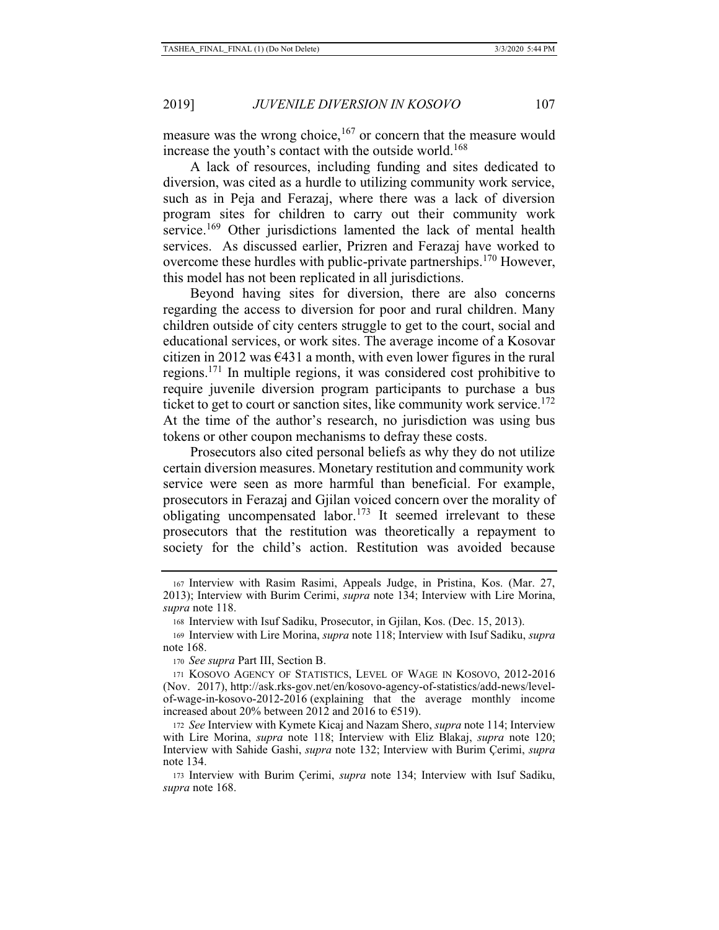measure was the wrong choice,  $167$  or concern that the measure would increase the youth's contact with the outside world.<sup>168</sup>

A lack of resources, including funding and sites dedicated to diversion, was cited as a hurdle to utilizing community work service, such as in Peja and Ferazaj, where there was a lack of diversion program sites for children to carry out their community work service.<sup>169</sup> Other jurisdictions lamented the lack of mental health services. As discussed earlier, Prizren and Ferazaj have worked to overcome these hurdles with public-private partnerships.<sup>170</sup> However, this model has not been replicated in all jurisdictions.

Beyond having sites for diversion, there are also concerns regarding the access to diversion for poor and rural children. Many children outside of city centers struggle to get to the court, social and educational services, or work sites. The average income of a Kosovar citizen in 2012 was  $\epsilon$ 431 a month, with even lower figures in the rural regions.171 In multiple regions, it was considered cost prohibitive to require juvenile diversion program participants to purchase a bus ticket to get to court or sanction sites, like community work service.<sup>172</sup> At the time of the author's research, no jurisdiction was using bus tokens or other coupon mechanisms to defray these costs.

Prosecutors also cited personal beliefs as why they do not utilize certain diversion measures. Monetary restitution and community work service were seen as more harmful than beneficial. For example, prosecutors in Ferazaj and Gjilan voiced concern over the morality of obligating uncompensated labor.<sup>173</sup> It seemed irrelevant to these prosecutors that the restitution was theoretically a repayment to society for the child's action. Restitution was avoided because

<sup>167</sup> Interview with Rasim Rasimi, Appeals Judge, in Pristina, Kos. (Mar. 27, 2013); Interview with Burim Cerimi, *supra* note 134; Interview with Lire Morina, *supra* note 118.

<sup>168</sup> Interview with Isuf Sadiku, Prosecutor, in Gjilan, Kos. (Dec. 15, 2013).

<sup>169</sup> Interview with Lire Morina, *supra* note 118; Interview with Isuf Sadiku, *supra*  note 168.

<sup>170</sup> *See supra* Part III, Section B.

<sup>171</sup> KOSOVO AGENCY OF STATISTICS, LEVEL OF WAGE IN KOSOVO, 2012-2016 (Nov. 2017), http://ask.rks-gov.net/en/kosovo-agency-of-statistics/add-news/levelof-wage-in-kosovo-2012-2016 (explaining that the average monthly income increased about 20% between 2012 and 2016 to  $\epsilon$ 519).

<sup>172</sup> *See* Interview with Kymete Kicaj and Nazam Shero, *supra* note 114; Interview with Lire Morina, *supra* note 118; Interview with Eliz Blakaj, *supra* note 120; Interview with Sahide Gashi, *supra* note 132; Interview with Burim Çerimi, *supra* note 134.

<sup>173</sup> Interview with Burim Çerimi, *supra* note 134; Interview with Isuf Sadiku, *supra* note 168.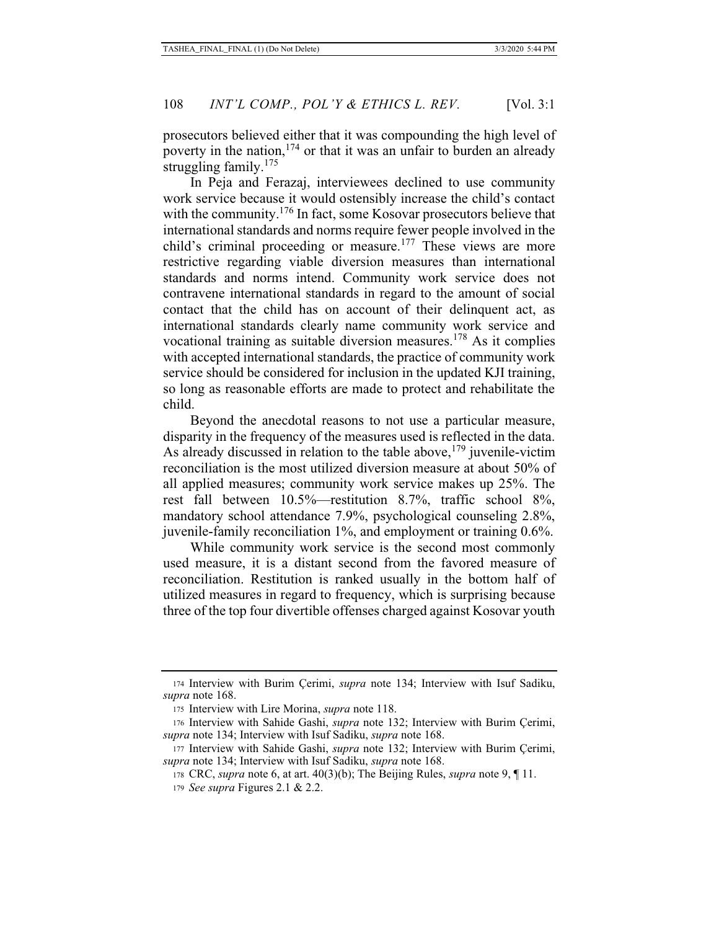prosecutors believed either that it was compounding the high level of poverty in the nation,  $174$  or that it was an unfair to burden an already struggling family.<sup>175</sup>

In Peja and Ferazaj, interviewees declined to use community work service because it would ostensibly increase the child's contact with the community.<sup>176</sup> In fact, some Kosovar prosecutors believe that international standards and norms require fewer people involved in the child's criminal proceeding or measure.<sup>177</sup> These views are more restrictive regarding viable diversion measures than international standards and norms intend. Community work service does not contravene international standards in regard to the amount of social contact that the child has on account of their delinquent act, as international standards clearly name community work service and vocational training as suitable diversion measures.178 As it complies with accepted international standards, the practice of community work service should be considered for inclusion in the updated KJI training, so long as reasonable efforts are made to protect and rehabilitate the child.

Beyond the anecdotal reasons to not use a particular measure, disparity in the frequency of the measures used is reflected in the data. As already discussed in relation to the table above,  $179$  juvenile-victim reconciliation is the most utilized diversion measure at about 50% of all applied measures; community work service makes up 25%. The rest fall between 10.5%—restitution 8.7%, traffic school 8%, mandatory school attendance 7.9%, psychological counseling 2.8%, juvenile-family reconciliation 1%, and employment or training 0.6%.

While community work service is the second most commonly used measure, it is a distant second from the favored measure of reconciliation. Restitution is ranked usually in the bottom half of utilized measures in regard to frequency, which is surprising because three of the top four divertible offenses charged against Kosovar youth

<sup>174</sup> Interview with Burim Çerimi, *supra* note 134; Interview with Isuf Sadiku, *supra* note 168.

<sup>175</sup> Interview with Lire Morina, *supra* note 118.

<sup>176</sup> Interview with Sahide Gashi, *supra* note 132; Interview with Burim Çerimi, *supra* note 134; Interview with Isuf Sadiku, *supra* note 168.

<sup>177</sup> Interview with Sahide Gashi, *supra* note 132; Interview with Burim Çerimi, *supra* note 134; Interview with Isuf Sadiku, *supra* note 168.

<sup>178</sup> CRC, *supra* note 6, at art. 40(3)(b); The Beijing Rules, *supra* note 9, ¶ 11.

<sup>179</sup> *See supra* Figures 2.1 & 2.2.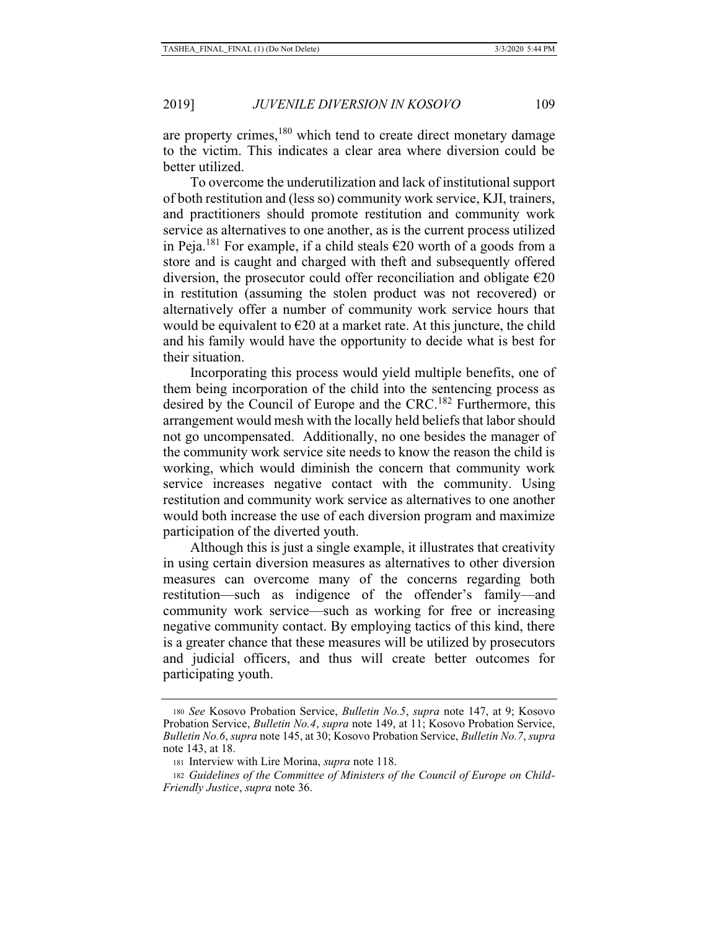are property crimes,<sup>180</sup> which tend to create direct monetary damage to the victim. This indicates a clear area where diversion could be better utilized.

To overcome the underutilization and lack of institutional support of both restitution and (less so) community work service, KJI, trainers, and practitioners should promote restitution and community work service as alternatives to one another, as is the current process utilized in Peja.<sup>181</sup> For example, if a child steals  $\epsilon$ 20 worth of a goods from a store and is caught and charged with theft and subsequently offered diversion, the prosecutor could offer reconciliation and obligate  $\epsilon$ 20 in restitution (assuming the stolen product was not recovered) or alternatively offer a number of community work service hours that would be equivalent to  $\epsilon$ 20 at a market rate. At this juncture, the child and his family would have the opportunity to decide what is best for their situation.

Incorporating this process would yield multiple benefits, one of them being incorporation of the child into the sentencing process as desired by the Council of Europe and the CRC.<sup>182</sup> Furthermore, this arrangement would mesh with the locally held beliefs that labor should not go uncompensated. Additionally, no one besides the manager of the community work service site needs to know the reason the child is working, which would diminish the concern that community work service increases negative contact with the community. Using restitution and community work service as alternatives to one another would both increase the use of each diversion program and maximize participation of the diverted youth.

Although this is just a single example, it illustrates that creativity in using certain diversion measures as alternatives to other diversion measures can overcome many of the concerns regarding both restitution—such as indigence of the offender's family—and community work service—such as working for free or increasing negative community contact. By employing tactics of this kind, there is a greater chance that these measures will be utilized by prosecutors and judicial officers, and thus will create better outcomes for participating youth.

<sup>180</sup> *See* Kosovo Probation Service, *Bulletin No.5*, *supra* note 147, at 9; Kosovo Probation Service, *Bulletin No.4*, *supra* note 149, at 11; Kosovo Probation Service, *Bulletin No.6*, *supra* note 145, at 30; Kosovo Probation Service, *Bulletin No.7*, *supra* note 143, at 18.

<sup>181</sup> Interview with Lire Morina, *supra* note 118.

<sup>182</sup> *Guidelines of the Committee of Ministers of the Council of Europe on Child-Friendly Justice*, *supra* note 36.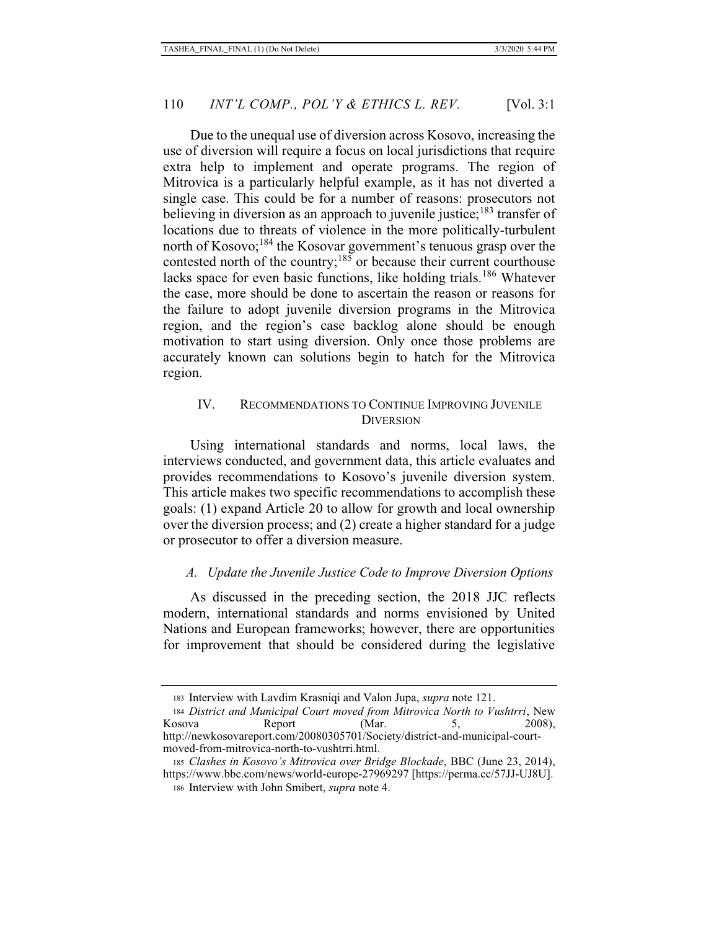Due to the unequal use of diversion across Kosovo, increasing the use of diversion will require a focus on local jurisdictions that require extra help to implement and operate programs. The region of Mitrovica is a particularly helpful example, as it has not diverted a single case. This could be for a number of reasons: prosecutors not believing in diversion as an approach to juvenile justice;<sup>183</sup> transfer of locations due to threats of violence in the more politically-turbulent north of Kosovo;<sup>184</sup> the Kosovar government's tenuous grasp over the contested north of the country;<sup>185</sup> or because their current courthouse lacks space for even basic functions, like holding trials.<sup>186</sup> Whatever the case, more should be done to ascertain the reason or reasons for the failure to adopt juvenile diversion programs in the Mitrovica region, and the region's case backlog alone should be enough motivation to start using diversion. Only once those problems are accurately known can solutions begin to hatch for the Mitrovica region.

## IV. RECOMMENDATIONS TO CONTINUE IMPROVING JUVENILE **DIVERSION**

Using international standards and norms, local laws, the interviews conducted, and government data, this article evaluates and provides recommendations to Kosovo's juvenile diversion system. This article makes two specific recommendations to accomplish these goals: (1) expand Article 20 to allow for growth and local ownership over the diversion process; and (2) create a higher standard for a judge or prosecutor to offer a diversion measure.

### *A. Update the Juvenile Justice Code to Improve Diversion Options*

As discussed in the preceding section, the 2018 JJC reflects modern, international standards and norms envisioned by United Nations and European frameworks; however, there are opportunities for improvement that should be considered during the legislative

<sup>183</sup> Interview with Lavdim Krasniqi and Valon Jupa, *supra* note 121.

<sup>184</sup> *District and Municipal Court moved from Mitrovica North to Vushtrri*, New Kosova Report (Mar. 5, 2008), http://newkosovareport.com/20080305701/Society/district-and-municipal-courtmoved-from-mitrovica-north-to-vushtrri.html.

<sup>185</sup> *Clashes in Kosovo's Mitrovica over Bridge Blockade*, BBC (June 23, 2014), https://www.bbc.com/news/world-europe-27969297 [https://perma.cc/57JJ-UJ8U]. 186 Interview with John Smibert, *supra* note 4.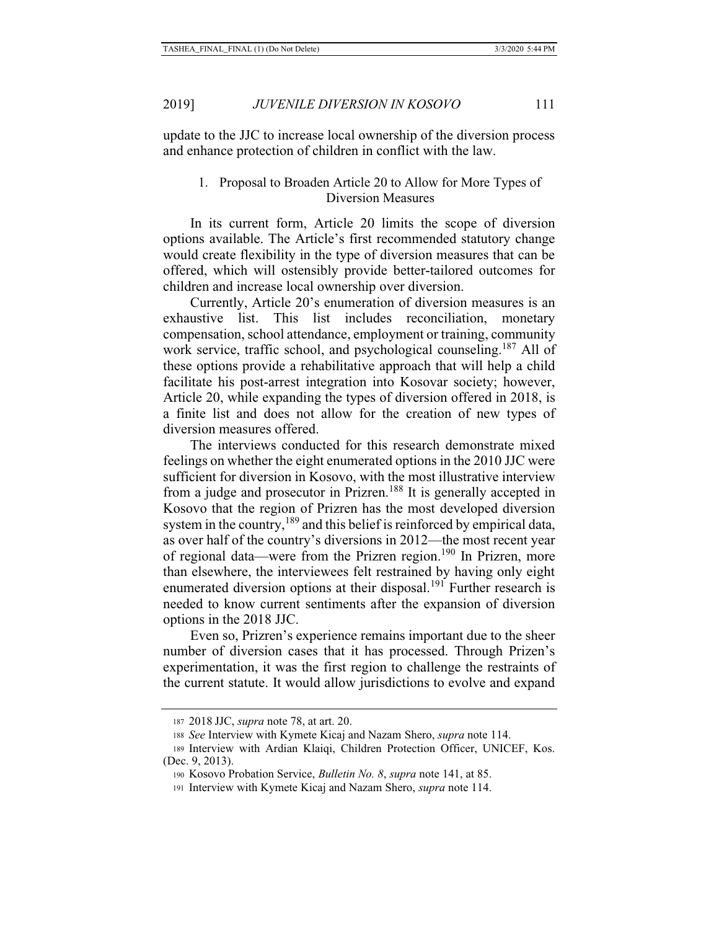update to the JJC to increase local ownership of the diversion process and enhance protection of children in conflict with the law.

## 1. Proposal to Broaden Article 20 to Allow for More Types of Diversion Measures

In its current form, Article 20 limits the scope of diversion options available. The Article's first recommended statutory change would create flexibility in the type of diversion measures that can be offered, which will ostensibly provide better-tailored outcomes for children and increase local ownership over diversion.

Currently, Article 20's enumeration of diversion measures is an exhaustive list. This list includes reconciliation, monetary compensation, school attendance, employment or training, community work service, traffic school, and psychological counseling.<sup>187</sup> All of these options provide a rehabilitative approach that will help a child facilitate his post-arrest integration into Kosovar society; however, Article 20, while expanding the types of diversion offered in 2018, is a finite list and does not allow for the creation of new types of diversion measures offered.

The interviews conducted for this research demonstrate mixed feelings on whether the eight enumerated options in the 2010 JJC were sufficient for diversion in Kosovo, with the most illustrative interview from a judge and prosecutor in Prizren.<sup>188</sup> It is generally accepted in Kosovo that the region of Prizren has the most developed diversion system in the country,<sup>189</sup> and this belief is reinforced by empirical data, as over half of the country's diversions in 2012—the most recent year of regional data—were from the Prizren region.<sup>190</sup> In Prizren, more than elsewhere, the interviewees felt restrained by having only eight enumerated diversion options at their disposal.<sup>191</sup> Further research is needed to know current sentiments after the expansion of diversion options in the 2018 JJC.

Even so, Prizren's experience remains important due to the sheer number of diversion cases that it has processed. Through Prizen's experimentation, it was the first region to challenge the restraints of the current statute. It would allow jurisdictions to evolve and expand

<sup>187 2018</sup> JJC, *supra* note 78, at art. 20.

<sup>188</sup> *See* Interview with Kymete Kicaj and Nazam Shero, *supra* note 114.

<sup>189</sup> Interview with Ardian Klaiqi, Children Protection Officer, UNICEF, Kos. (Dec. 9, 2013).

<sup>190</sup> Kosovo Probation Service, *Bulletin No. 8*, *supra* note 141, at 85.

<sup>191</sup> Interview with Kymete Kicaj and Nazam Shero, *supra* note 114.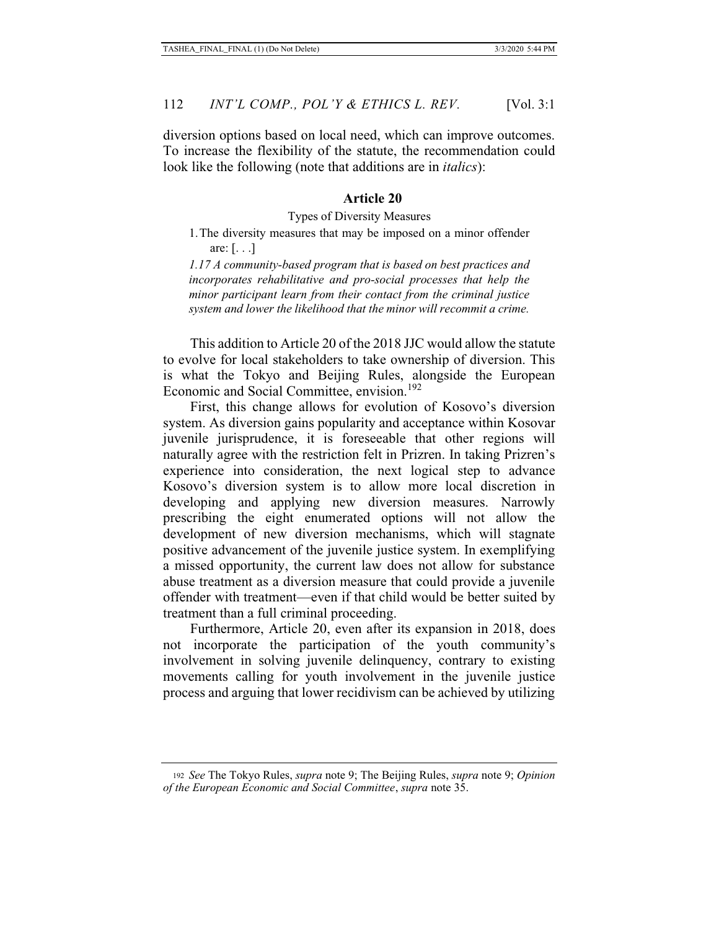diversion options based on local need, which can improve outcomes. To increase the flexibility of the statute, the recommendation could look like the following (note that additions are in *italics*):

#### **Article 20**

#### Types of Diversity Measures

## 1.The diversity measures that may be imposed on a minor offender are: [. . .]

*1.17 A community-based program that is based on best practices and incorporates rehabilitative and pro-social processes that help the minor participant learn from their contact from the criminal justice system and lower the likelihood that the minor will recommit a crime.* 

This addition to Article 20 of the 2018 JJC would allow the statute to evolve for local stakeholders to take ownership of diversion. This is what the Tokyo and Beijing Rules, alongside the European Economic and Social Committee, envision.<sup>192</sup>

First, this change allows for evolution of Kosovo's diversion system. As diversion gains popularity and acceptance within Kosovar juvenile jurisprudence, it is foreseeable that other regions will naturally agree with the restriction felt in Prizren. In taking Prizren's experience into consideration, the next logical step to advance Kosovo's diversion system is to allow more local discretion in developing and applying new diversion measures. Narrowly prescribing the eight enumerated options will not allow the development of new diversion mechanisms, which will stagnate positive advancement of the juvenile justice system. In exemplifying a missed opportunity, the current law does not allow for substance abuse treatment as a diversion measure that could provide a juvenile offender with treatment—even if that child would be better suited by treatment than a full criminal proceeding.

Furthermore, Article 20, even after its expansion in 2018, does not incorporate the participation of the youth community's involvement in solving juvenile delinquency, contrary to existing movements calling for youth involvement in the juvenile justice process and arguing that lower recidivism can be achieved by utilizing

<sup>192</sup> *See* The Tokyo Rules, *supra* note 9; The Beijing Rules, *supra* note 9; *Opinion of the European Economic and Social Committee*, *supra* note 35.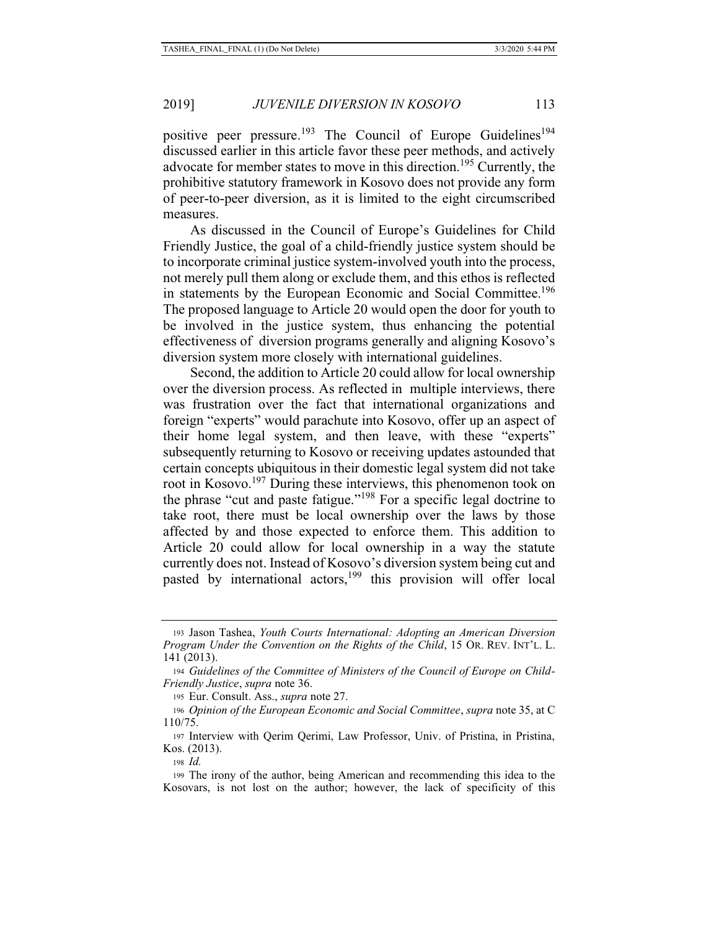positive peer pressure.<sup>193</sup> The Council of Europe Guidelines<sup>194</sup> discussed earlier in this article favor these peer methods, and actively advocate for member states to move in this direction.<sup>195</sup> Currently, the prohibitive statutory framework in Kosovo does not provide any form of peer-to-peer diversion, as it is limited to the eight circumscribed measures.

As discussed in the Council of Europe's Guidelines for Child Friendly Justice, the goal of a child-friendly justice system should be to incorporate criminal justice system-involved youth into the process, not merely pull them along or exclude them, and this ethos is reflected in statements by the European Economic and Social Committee.<sup>196</sup> The proposed language to Article 20 would open the door for youth to be involved in the justice system, thus enhancing the potential effectiveness of diversion programs generally and aligning Kosovo's diversion system more closely with international guidelines.

Second, the addition to Article 20 could allow for local ownership over the diversion process. As reflected in multiple interviews, there was frustration over the fact that international organizations and foreign "experts" would parachute into Kosovo, offer up an aspect of their home legal system, and then leave, with these "experts" subsequently returning to Kosovo or receiving updates astounded that certain concepts ubiquitous in their domestic legal system did not take root in Kosovo.<sup>197</sup> During these interviews, this phenomenon took on the phrase "cut and paste fatigue."198 For a specific legal doctrine to take root, there must be local ownership over the laws by those affected by and those expected to enforce them. This addition to Article 20 could allow for local ownership in a way the statute currently does not. Instead of Kosovo's diversion system being cut and pasted by international actors,<sup>199</sup> this provision will offer local

<sup>193</sup> Jason Tashea, *Youth Courts International: Adopting an American Diversion Program Under the Convention on the Rights of the Child*, 15 OR. REV. INT'L. L. 141 (2013).

<sup>194</sup> *Guidelines of the Committee of Ministers of the Council of Europe on Child-Friendly Justice*, *supra* note 36.

<sup>195</sup> Eur. Consult. Ass., *supra* note 27.

<sup>196</sup> *Opinion of the European Economic and Social Committee*, *supra* note 35, at C 110/75.

<sup>197</sup> Interview with Qerim Qerimi, Law Professor, Univ. of Pristina, in Pristina, Kos. (2013).

<sup>198</sup> *Id.*

<sup>199</sup> The irony of the author, being American and recommending this idea to the Kosovars, is not lost on the author; however, the lack of specificity of this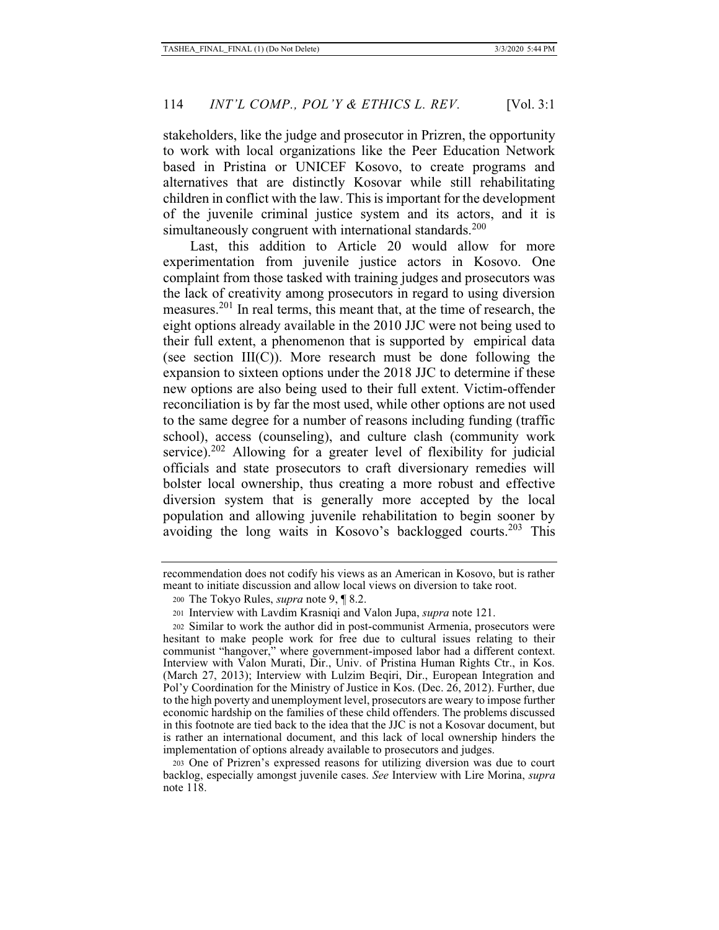stakeholders, like the judge and prosecutor in Prizren, the opportunity to work with local organizations like the Peer Education Network based in Pristina or UNICEF Kosovo, to create programs and alternatives that are distinctly Kosovar while still rehabilitating children in conflict with the law. This is important for the development of the juvenile criminal justice system and its actors, and it is simultaneously congruent with international standards.<sup>200</sup>

Last, this addition to Article 20 would allow for more experimentation from juvenile justice actors in Kosovo. One complaint from those tasked with training judges and prosecutors was the lack of creativity among prosecutors in regard to using diversion measures.201 In real terms, this meant that, at the time of research, the eight options already available in the 2010 JJC were not being used to their full extent, a phenomenon that is supported by empirical data (see section III(C)). More research must be done following the expansion to sixteen options under the 2018 JJC to determine if these new options are also being used to their full extent. Victim-offender reconciliation is by far the most used, while other options are not used to the same degree for a number of reasons including funding (traffic school), access (counseling), and culture clash (community work service).<sup>202</sup> Allowing for a greater level of flexibility for judicial officials and state prosecutors to craft diversionary remedies will bolster local ownership, thus creating a more robust and effective diversion system that is generally more accepted by the local population and allowing juvenile rehabilitation to begin sooner by avoiding the long waits in Kosovo's backlogged courts.<sup>203</sup> This

recommendation does not codify his views as an American in Kosovo, but is rather meant to initiate discussion and allow local views on diversion to take root.

<sup>200</sup> The Tokyo Rules, *supra* note 9, ¶ 8.2.

<sup>201</sup> Interview with Lavdim Krasniqi and Valon Jupa, *supra* note 121.

<sup>202</sup> Similar to work the author did in post-communist Armenia, prosecutors were hesitant to make people work for free due to cultural issues relating to their communist "hangover," where government-imposed labor had a different context. Interview with Valon Murati, Dir., Univ. of Pristina Human Rights Ctr., in Kos. (March 27, 2013); Interview with Lulzim Beqiri, Dir., European Integration and Pol'y Coordination for the Ministry of Justice in Kos. (Dec. 26, 2012). Further, due to the high poverty and unemployment level, prosecutors are weary to impose further economic hardship on the families of these child offenders. The problems discussed in this footnote are tied back to the idea that the JJC is not a Kosovar document, but is rather an international document, and this lack of local ownership hinders the implementation of options already available to prosecutors and judges.

<sup>203</sup> One of Prizren's expressed reasons for utilizing diversion was due to court backlog, especially amongst juvenile cases. *See* Interview with Lire Morina, *supra* note 118.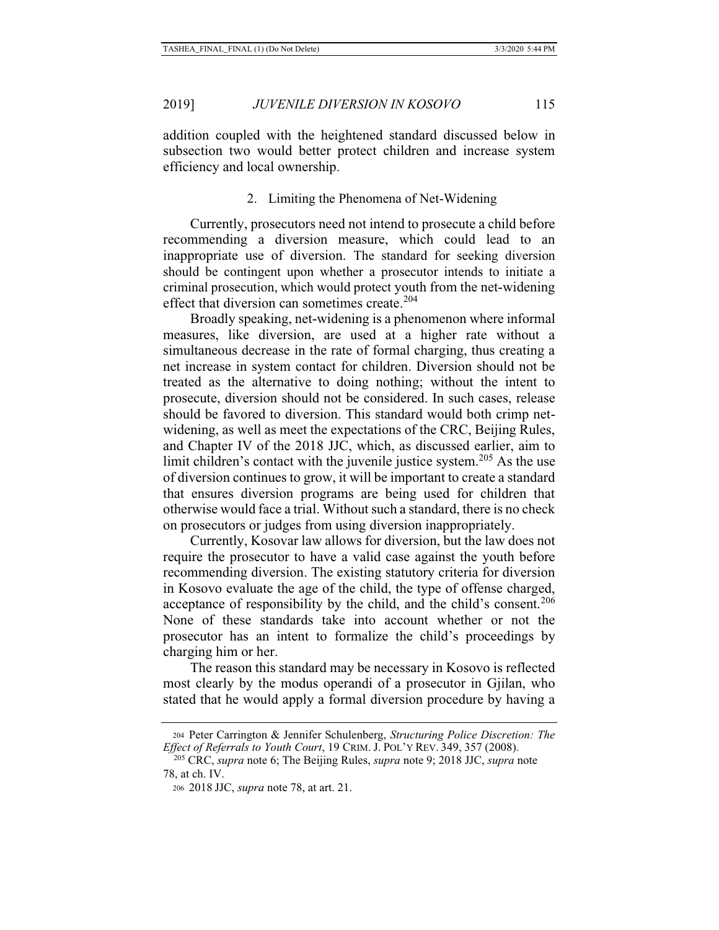addition coupled with the heightened standard discussed below in subsection two would better protect children and increase system efficiency and local ownership.

#### 2. Limiting the Phenomena of Net-Widening

Currently, prosecutors need not intend to prosecute a child before recommending a diversion measure, which could lead to an inappropriate use of diversion. The standard for seeking diversion should be contingent upon whether a prosecutor intends to initiate a criminal prosecution, which would protect youth from the net-widening effect that diversion can sometimes create.<sup>204</sup>

Broadly speaking, net-widening is a phenomenon where informal measures, like diversion, are used at a higher rate without a simultaneous decrease in the rate of formal charging, thus creating a net increase in system contact for children. Diversion should not be treated as the alternative to doing nothing; without the intent to prosecute, diversion should not be considered. In such cases, release should be favored to diversion. This standard would both crimp netwidening, as well as meet the expectations of the CRC, Beijing Rules, and Chapter IV of the 2018 JJC, which, as discussed earlier, aim to limit children's contact with the juvenile justice system.<sup>205</sup> As the use of diversion continues to grow, it will be important to create a standard that ensures diversion programs are being used for children that otherwise would face a trial. Without such a standard, there is no check on prosecutors or judges from using diversion inappropriately.

Currently, Kosovar law allows for diversion, but the law does not require the prosecutor to have a valid case against the youth before recommending diversion. The existing statutory criteria for diversion in Kosovo evaluate the age of the child, the type of offense charged, acceptance of responsibility by the child, and the child's consent.<sup>206</sup> None of these standards take into account whether or not the prosecutor has an intent to formalize the child's proceedings by charging him or her.

The reason this standard may be necessary in Kosovo is reflected most clearly by the modus operandi of a prosecutor in Gjilan, who stated that he would apply a formal diversion procedure by having a

<sup>204</sup> Peter Carrington & Jennifer Schulenberg, *Structuring Police Discretion: The* 

<sup>&</sup>lt;sup>205</sup> CRC, *supra* note 6; The Beijing Rules, *supra* note 9; 2018 JJC, *supra* note 78, at ch. IV.

<sup>206 2018</sup> JJC, *supra* note 78, at art. 21.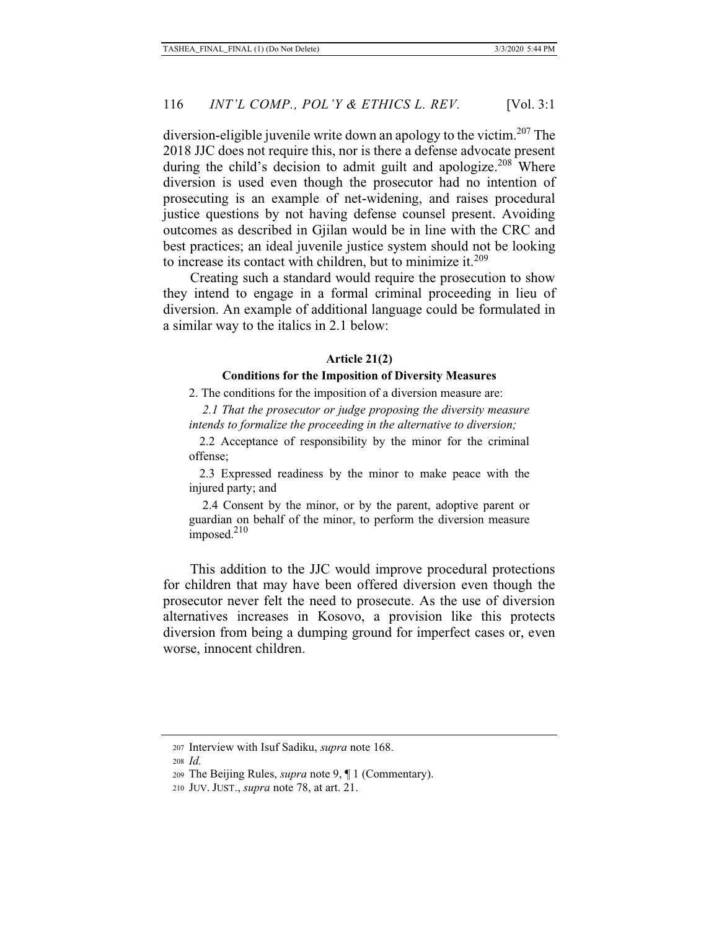diversion-eligible juvenile write down an apology to the victim.<sup>207</sup> The 2018 JJC does not require this, nor is there a defense advocate present during the child's decision to admit guilt and apologize.<sup>208</sup> Where diversion is used even though the prosecutor had no intention of prosecuting is an example of net-widening, and raises procedural justice questions by not having defense counsel present. Avoiding outcomes as described in Gjilan would be in line with the CRC and best practices; an ideal juvenile justice system should not be looking to increase its contact with children, but to minimize it. $209$ 

Creating such a standard would require the prosecution to show they intend to engage in a formal criminal proceeding in lieu of diversion. An example of additional language could be formulated in a similar way to the italics in 2.1 below:

#### **Article 21(2)**

#### **Conditions for the Imposition of Diversity Measures**

2. The conditions for the imposition of a diversion measure are:

 *2.1 That the prosecutor or judge proposing the diversity measure intends to formalize the proceeding in the alternative to diversion;*

 2.2 Acceptance of responsibility by the minor for the criminal offense;

 2.3 Expressed readiness by the minor to make peace with the injured party; and

 2.4 Consent by the minor, or by the parent, adoptive parent or guardian on behalf of the minor, to perform the diversion measure  $\text{imposed.}^{210}$ 

This addition to the JJC would improve procedural protections for children that may have been offered diversion even though the prosecutor never felt the need to prosecute. As the use of diversion alternatives increases in Kosovo, a provision like this protects diversion from being a dumping ground for imperfect cases or, even worse, innocent children.

<sup>207</sup> Interview with Isuf Sadiku, *supra* note 168.

<sup>208</sup> *Id.* 

<sup>209</sup> The Beijing Rules, *supra* note 9, ¶ 1 (Commentary).

<sup>210</sup> JUV. JUST., *supra* note 78, at art. 21.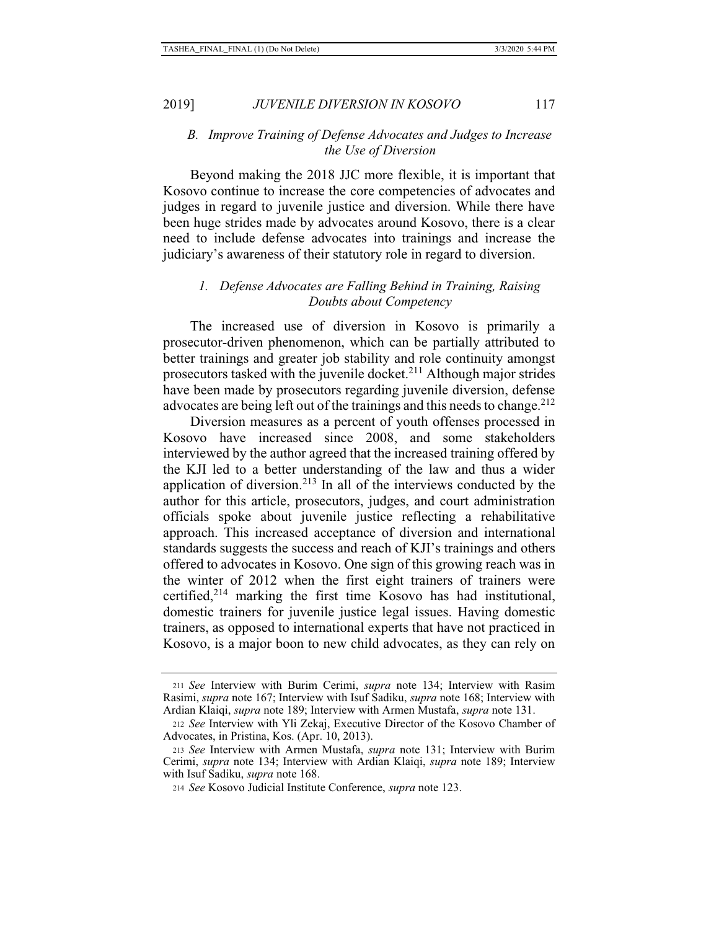#### *B. Improve Training of Defense Advocates and Judges to Increase the Use of Diversion*

Beyond making the 2018 JJC more flexible, it is important that Kosovo continue to increase the core competencies of advocates and judges in regard to juvenile justice and diversion. While there have been huge strides made by advocates around Kosovo, there is a clear need to include defense advocates into trainings and increase the judiciary's awareness of their statutory role in regard to diversion.

## *1. Defense Advocates are Falling Behind in Training, Raising Doubts about Competency*

The increased use of diversion in Kosovo is primarily a prosecutor-driven phenomenon, which can be partially attributed to better trainings and greater job stability and role continuity amongst prosecutors tasked with the juvenile docket.<sup>211</sup> Although major strides have been made by prosecutors regarding juvenile diversion, defense advocates are being left out of the trainings and this needs to change.<sup>212</sup>

Diversion measures as a percent of youth offenses processed in Kosovo have increased since 2008, and some stakeholders interviewed by the author agreed that the increased training offered by the KJI led to a better understanding of the law and thus a wider application of diversion. $2^{13}$  In all of the interviews conducted by the author for this article, prosecutors, judges, and court administration officials spoke about juvenile justice reflecting a rehabilitative approach. This increased acceptance of diversion and international standards suggests the success and reach of KJI's trainings and others offered to advocates in Kosovo. One sign of this growing reach was in the winter of 2012 when the first eight trainers of trainers were certified, $2^{14}$  marking the first time Kosovo has had institutional, domestic trainers for juvenile justice legal issues. Having domestic trainers, as opposed to international experts that have not practiced in Kosovo, is a major boon to new child advocates, as they can rely on

<sup>211</sup> *See* Interview with Burim Cerimi, *supra* note 134; Interview with Rasim Rasimi, *supra* note 167; Interview with Isuf Sadiku, *supra* note 168; Interview with Ardian Klaiqi, *supra* note 189; Interview with Armen Mustafa, *supra* note 131.

<sup>212</sup> *See* Interview with Yli Zekaj, Executive Director of the Kosovo Chamber of Advocates, in Pristina, Kos. (Apr. 10, 2013).

<sup>213</sup> *See* Interview with Armen Mustafa, *supra* note 131; Interview with Burim Cerimi, *supra* note 134; Interview with Ardian Klaiqi, *supra* note 189; Interview with Isuf Sadiku, *supra* note 168.

<sup>214</sup> *See* Kosovo Judicial Institute Conference, *supra* note 123.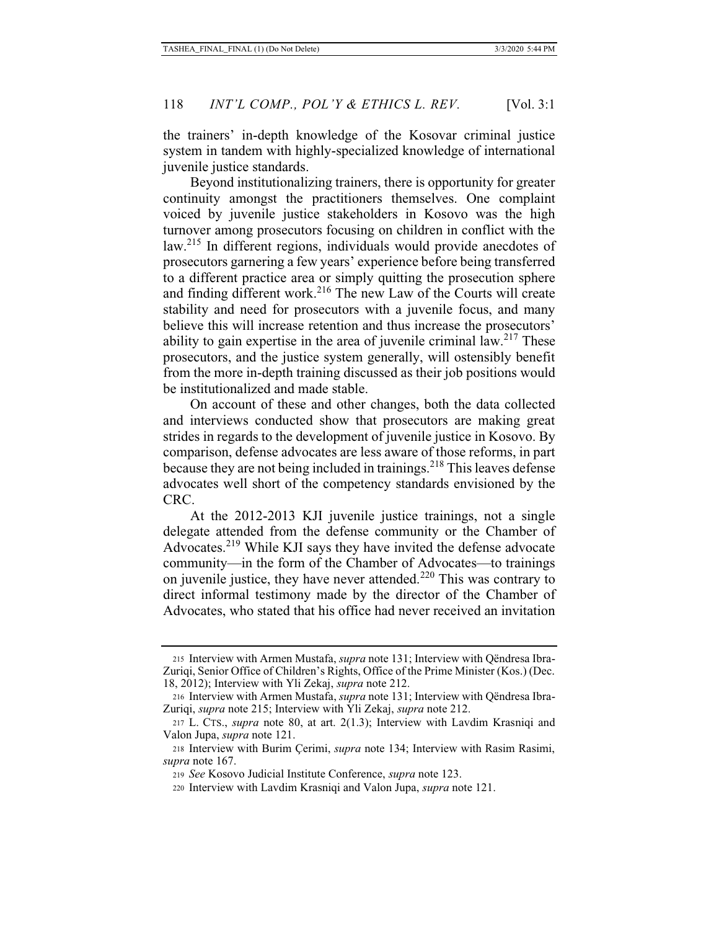the trainers' in-depth knowledge of the Kosovar criminal justice system in tandem with highly-specialized knowledge of international juvenile justice standards.

Beyond institutionalizing trainers, there is opportunity for greater continuity amongst the practitioners themselves. One complaint voiced by juvenile justice stakeholders in Kosovo was the high turnover among prosecutors focusing on children in conflict with the law.<sup>215</sup> In different regions, individuals would provide anecdotes of prosecutors garnering a few years' experience before being transferred to a different practice area or simply quitting the prosecution sphere and finding different work.<sup>216</sup> The new Law of the Courts will create stability and need for prosecutors with a juvenile focus, and many believe this will increase retention and thus increase the prosecutors' ability to gain expertise in the area of juvenile criminal law.<sup>217</sup> These prosecutors, and the justice system generally, will ostensibly benefit from the more in-depth training discussed as their job positions would be institutionalized and made stable.

On account of these and other changes, both the data collected and interviews conducted show that prosecutors are making great strides in regards to the development of juvenile justice in Kosovo. By comparison, defense advocates are less aware of those reforms, in part because they are not being included in trainings.<sup>218</sup> This leaves defense advocates well short of the competency standards envisioned by the CRC.

At the 2012-2013 KJI juvenile justice trainings, not a single delegate attended from the defense community or the Chamber of Advocates.<sup>219</sup> While KJI says they have invited the defense advocate community—in the form of the Chamber of Advocates—to trainings on juvenile justice, they have never attended.<sup>220</sup> This was contrary to direct informal testimony made by the director of the Chamber of Advocates, who stated that his office had never received an invitation

<sup>215</sup> Interview with Armen Mustafa, *supra* note 131; Interview with Qëndresa Ibra-Zuriqi, Senior Office of Children's Rights, Office of the Prime Minister (Kos.) (Dec. 18, 2012); Interview with Yli Zekaj, *supra* note 212.

<sup>216</sup> Interview with Armen Mustafa, *supra* note 131; Interview with Qëndresa Ibra-Zuriqi, *supra* note 215; Interview with Yli Zekaj, *supra* note 212.

<sup>217</sup> L. CTS., *supra* note 80, at art. 2(1.3); Interview with Lavdim Krasniqi and Valon Jupa, *supra* note 121.

<sup>218</sup> Interview with Burim Çerimi, *supra* note 134; Interview with Rasim Rasimi, *supra* note 167.

<sup>219</sup> *See* Kosovo Judicial Institute Conference, *supra* note 123.

<sup>220</sup> Interview with Lavdim Krasniqi and Valon Jupa, *supra* note 121.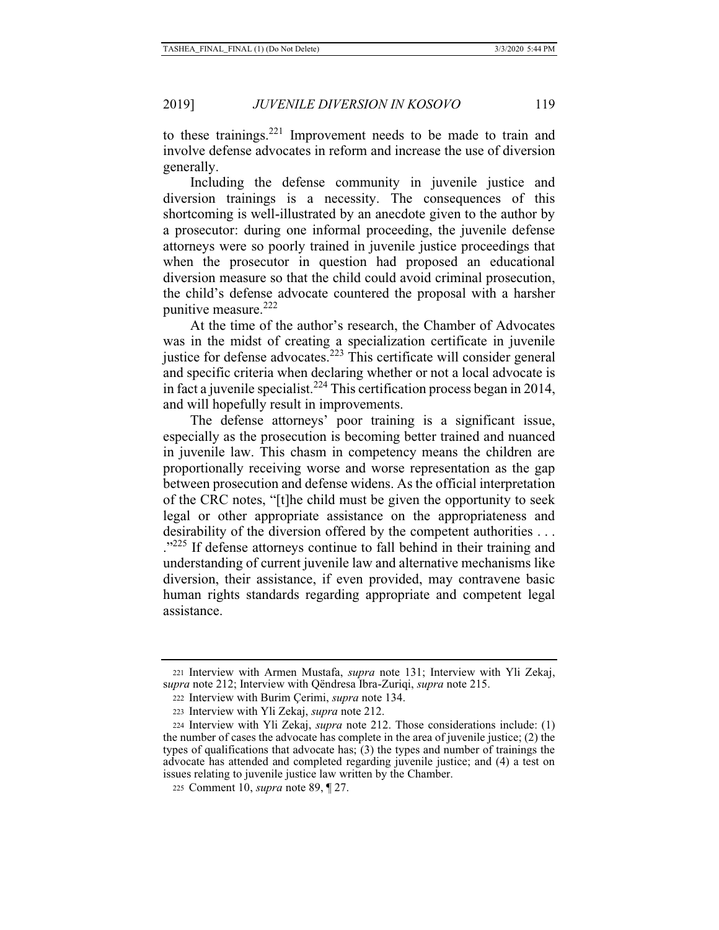to these trainings.<sup>221</sup> Improvement needs to be made to train and involve defense advocates in reform and increase the use of diversion generally.

Including the defense community in juvenile justice and diversion trainings is a necessity. The consequences of this shortcoming is well-illustrated by an anecdote given to the author by a prosecutor: during one informal proceeding, the juvenile defense attorneys were so poorly trained in juvenile justice proceedings that when the prosecutor in question had proposed an educational diversion measure so that the child could avoid criminal prosecution, the child's defense advocate countered the proposal with a harsher punitive measure. $222$ 

At the time of the author's research, the Chamber of Advocates was in the midst of creating a specialization certificate in juvenile justice for defense advocates.<sup>223</sup> This certificate will consider general and specific criteria when declaring whether or not a local advocate is in fact a juvenile specialist.<sup>224</sup> This certification process began in 2014, and will hopefully result in improvements.

The defense attorneys' poor training is a significant issue, especially as the prosecution is becoming better trained and nuanced in juvenile law. This chasm in competency means the children are proportionally receiving worse and worse representation as the gap between prosecution and defense widens. As the official interpretation of the CRC notes, "[t]he child must be given the opportunity to seek legal or other appropriate assistance on the appropriateness and desirability of the diversion offered by the competent authorities . . . .<sup>"225</sup> If defense attorneys continue to fall behind in their training and understanding of current juvenile law and alternative mechanisms like diversion, their assistance, if even provided, may contravene basic human rights standards regarding appropriate and competent legal assistance.

<sup>221</sup> Interview with Armen Mustafa, *supra* note 131; Interview with Yli Zekaj, s*upra* note 212; Interview with Qëndresa Ibra-Zuriqi, *supra* note 215.

<sup>222</sup> Interview with Burim Çerimi, *supra* note 134.

<sup>223</sup> Interview with Yli Zekaj, *supra* note 212.

<sup>224</sup> Interview with Yli Zekaj, *supra* note 212. Those considerations include: (1) the number of cases the advocate has complete in the area of juvenile justice; (2) the types of qualifications that advocate has;  $(3)$  the types and number of trainings the advocate has attended and completed regarding juvenile justice; and (4) a test on issues relating to juvenile justice law written by the Chamber.

<sup>225</sup> Comment 10, *supra* note 89, ¶ 27.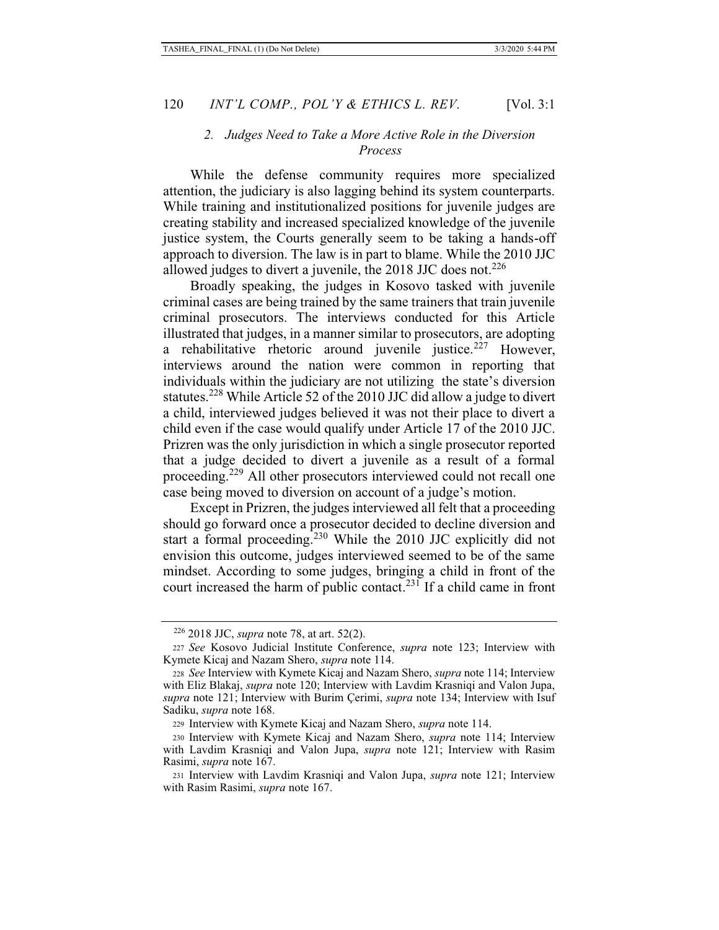#### *2. Judges Need to Take a More Active Role in the Diversion Process*

While the defense community requires more specialized attention, the judiciary is also lagging behind its system counterparts. While training and institutionalized positions for juvenile judges are creating stability and increased specialized knowledge of the juvenile justice system, the Courts generally seem to be taking a hands-off approach to diversion. The law is in part to blame. While the 2010 JJC allowed judges to divert a juvenile, the 2018 JJC does not.<sup>226</sup>

Broadly speaking, the judges in Kosovo tasked with juvenile criminal cases are being trained by the same trainers that train juvenile criminal prosecutors. The interviews conducted for this Article illustrated that judges, in a manner similar to prosecutors, are adopting a rehabilitative rhetoric around juvenile justice.<sup>227</sup> However, interviews around the nation were common in reporting that individuals within the judiciary are not utilizing the state's diversion statutes.<sup>228</sup> While Article 52 of the 2010 JJC did allow a judge to divert a child, interviewed judges believed it was not their place to divert a child even if the case would qualify under Article 17 of the 2010 JJC. Prizren was the only jurisdiction in which a single prosecutor reported that a judge decided to divert a juvenile as a result of a formal proceeding.<sup>229</sup> All other prosecutors interviewed could not recall one case being moved to diversion on account of a judge's motion.

Except in Prizren, the judges interviewed all felt that a proceeding should go forward once a prosecutor decided to decline diversion and start a formal proceeding.<sup>230</sup> While the 2010 JJC explicitly did not envision this outcome, judges interviewed seemed to be of the same mindset. According to some judges, bringing a child in front of the court increased the harm of public contact.<sup>231</sup> If a child came in front

<sup>226 2018</sup> JJC, *supra* note 78, at art. 52(2).

<sup>227</sup> *See* Kosovo Judicial Institute Conference, *supra* note 123; Interview with Kymete Kicaj and Nazam Shero, *supra* note 114.

<sup>228</sup> *See* Interview with Kymete Kicaj and Nazam Shero, *supra* note 114; Interview with Eliz Blakaj, *supra* note 120; Interview with Lavdim Krasniqi and Valon Jupa, *supra* note 121; Interview with Burim Çerimi, *supra* note 134; Interview with Isuf Sadiku, *supra* note 168.

<sup>229</sup> Interview with Kymete Kicaj and Nazam Shero, *supra* note 114.

<sup>230</sup> Interview with Kymete Kicaj and Nazam Shero, *supra* note 114; Interview with Lavdim Krasniqi and Valon Jupa, *supra* note 121; Interview with Rasim Rasimi, *supra* note 167.

<sup>231</sup> Interview with Lavdim Krasniqi and Valon Jupa, *supra* note 121; Interview with Rasim Rasimi, *supra* note 167.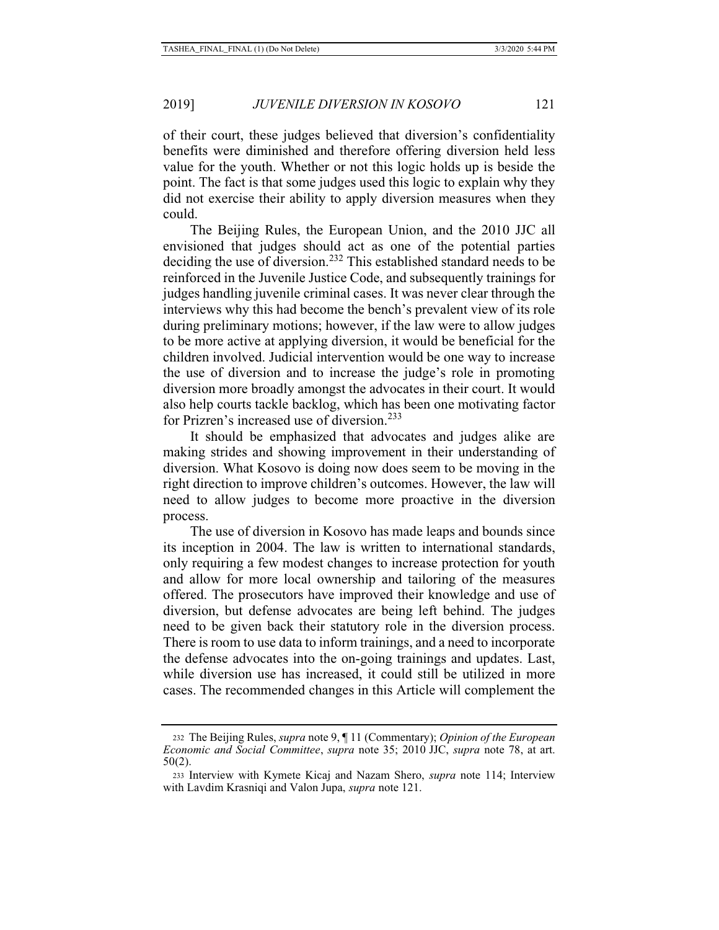of their court, these judges believed that diversion's confidentiality benefits were diminished and therefore offering diversion held less value for the youth. Whether or not this logic holds up is beside the point. The fact is that some judges used this logic to explain why they did not exercise their ability to apply diversion measures when they could.

The Beijing Rules, the European Union, and the 2010 JJC all envisioned that judges should act as one of the potential parties deciding the use of diversion.<sup>232</sup> This established standard needs to be reinforced in the Juvenile Justice Code, and subsequently trainings for judges handling juvenile criminal cases. It was never clear through the interviews why this had become the bench's prevalent view of its role during preliminary motions; however, if the law were to allow judges to be more active at applying diversion, it would be beneficial for the children involved. Judicial intervention would be one way to increase the use of diversion and to increase the judge's role in promoting diversion more broadly amongst the advocates in their court. It would also help courts tackle backlog, which has been one motivating factor for Prizren's increased use of diversion.<sup>233</sup>

It should be emphasized that advocates and judges alike are making strides and showing improvement in their understanding of diversion. What Kosovo is doing now does seem to be moving in the right direction to improve children's outcomes. However, the law will need to allow judges to become more proactive in the diversion process.

The use of diversion in Kosovo has made leaps and bounds since its inception in 2004. The law is written to international standards, only requiring a few modest changes to increase protection for youth and allow for more local ownership and tailoring of the measures offered. The prosecutors have improved their knowledge and use of diversion, but defense advocates are being left behind. The judges need to be given back their statutory role in the diversion process. There is room to use data to inform trainings, and a need to incorporate the defense advocates into the on-going trainings and updates. Last, while diversion use has increased, it could still be utilized in more cases. The recommended changes in this Article will complement the

<sup>232</sup> The Beijing Rules, *supra* note 9, ¶ 11 (Commentary); *Opinion of the European Economic and Social Committee*, *supra* note 35; 2010 JJC, *supra* note 78, at art. 50(2).

<sup>233</sup> Interview with Kymete Kicaj and Nazam Shero, *supra* note 114; Interview with Lavdim Krasniqi and Valon Jupa, *supra* note 121.